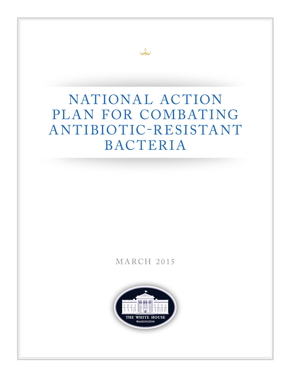# NATIONAL ACTION PLAN FOR COMBATING A NTIBIOTIC-R ESISTA NT BACTERIA

 $Q<sub>o</sub>$ 

# MARCH 2015

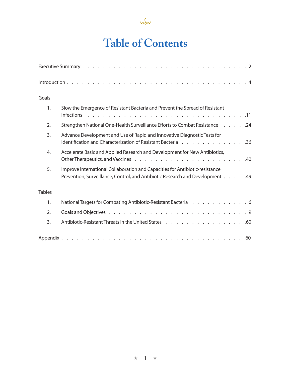

# **Table of Contents**

| Goals         |                                                                                                                                                               |
|---------------|---------------------------------------------------------------------------------------------------------------------------------------------------------------|
| 1.            | Slow the Emergence of Resistant Bacteria and Prevent the Spread of Resistant                                                                                  |
| 2.            | 24. 24. Strengthen National One-Health Surveillance Efforts to Combat Resistance 24                                                                           |
| 3.            | Advance Development and Use of Rapid and Innovative Diagnostic Tests for<br>Identification and Characterization of Resistant Bacteria 36                      |
| 4.            | Accelerate Basic and Applied Research and Development for New Antibiotics,                                                                                    |
| 5.            | Improve International Collaboration and Capacities for Antibiotic-resistance<br>Prevention, Surveillance, Control, and Antibiotic Research and Development 49 |
| <b>Tables</b> |                                                                                                                                                               |
| 1.            | National Targets for Combating Antibiotic-Resistant Bacteria 6                                                                                                |
| 2.            |                                                                                                                                                               |
| 3.            | Antibiotic-Resistant Threats in the United States 60                                                                                                          |
|               |                                                                                                                                                               |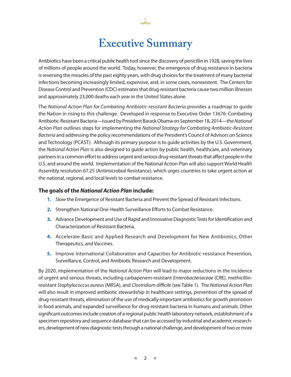# **Executive Summary**

Antibiotics have been a critical public health tool since the discovery of penicillin in 1928, saving the lives of millions of people around the world. Today, however, the emergence of drug resistance in bacteria is reversing the miracles of the past eighty years, with drug choices for the treatment of many bacterial infections becoming increasingly limited, expensive, and, in some cases, nonexistent. The Centers for Disease Control and Prevention (CDC) estimates that drug-resistant bacteria cause two million illnesses and approximately 23,000 deaths each year in the United States alone.

The *National Action Plan for Combating Antibiotic-resistant Bacteria* provides a roadmap to guide the Nation in rising to this challenge. Developed in response to Executive Order 13676: Combating Antibiotic-Resistant Bacteria—issued by President Barack Obama on September 18, 2014—the *National Action Plan* outlines steps for implementing the *National Strategy for Combating Antibiotic-Resistant Bacteria* and addressing the policy recommendations of the President's Council of Advisors on Science and Technology (PCAST). Although its primary purpose is to guide activities by the U.S. Government, the *National Action Plan* is also designed to guide action by public health, healthcare, and veterinary partners in a common effort to address urgent and serious drug-resistant threats that affect people in the U.S. and around the world. Implementation of the National Action Plan will also support World Health Assembly resolution 67.25 (Antimicrobial Resistance), which urges countries to take urgent action at the national, regional, and local levels to combat resistance.

## **The goals of the** *National Action Plan* **include:**

- **1.** Slow the Emergence of Resistant Bacteria and Prevent the Spread of Resistant Infections.
- **2.** Strengthen National One-Health Surveillance Efforts to Combat Resistance.
- **3.** Advance Development and Use of Rapid and Innovative Diagnostic Tests for Identification and Characterization of Resistant Bacteria.
- **4.** Accelerate Basic and Applied Research and Development for New Antibiotics, Other Therapeutics, and Vaccines.
- **5.** Improve International Collaboration and Capacities for Antibiotic-resistance Prevention, Surveillance, Control, and Antibiotic Research and Development.

By 2020, implementation of the *National Action Plan* will lead to major reductions in the incidence of urgent and serious threats, including carbapenem-resistant *Enterobacteriaceae* (CRE), methicillinresistant *Staphylococcus aureus* (MRSA), and *Clostridium difficile* (see Table 1). The *National Action Plan* will also result in improved antibiotic stewardship in healthcare settings, prevention of the spread of drug-resistant threats, elimination of the use of medically-important antibiotics for growth promotion in food animals, and expanded surveillance for drug-resistant bacteria in humans and animals. Other significant outcomes include creation of a regional public health laboratory network, establishment of a specimen repository and sequence database that can be accessed by industrial and academic researchers, development of new diagnostic tests through a national challenge, and development of two or more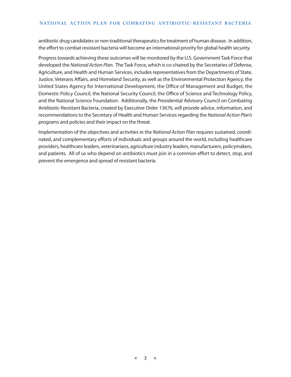antibiotic drug candidates or non-traditional therapeutics for treatment of human disease. In addition, the effort to combat resistant bacteria will become an international priority for global health security.

Progress towards achieving these outcomes will be monitored by the U.S. Government Task Force that developed the *National Action Plan.* The Task Force, which is co-chaired by the Secretaries of Defense, Agriculture, and Health and Human Services, includes representatives from the Departments of State, Justice, Veterans Affairs, and Homeland Security, as well as the Environmental Protection Agency, the United States Agency for International Development, the Office of Management and Budget, the Domestic Policy Council, the National Security Council, the Office of Science and Technology Policy, and the National Science Foundation. Additionally, the Presidential Advisory Council on Combating Antibiotic-Resistant Bacteria, created by Executive Order 13676, will provide advice, information, and recommendations to the Secretary of Health and Human Services regarding the *National Action Plan's*  programs and policies and their impact on the threat.

Implementation of the objectives and activities in the *National Action Plan* requires sustained, coordinated, and complementary efforts of individuals and groups around the world, including healthcare providers, healthcare leaders, veterinarians, agriculture industry leaders, manufacturers, policymakers, and patients. All of us who depend on antibiotics must join in a common effort to detect, stop, and prevent the emergence and spread of resistant bacteria.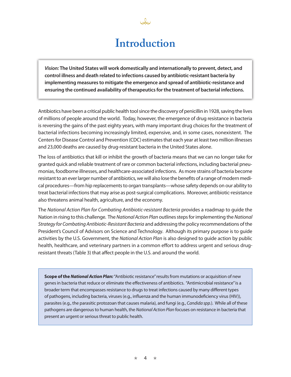# **Introduction**

*Vision:* **The United States will work domestically and internationally to prevent, detect, and control illness and death related to infections caused by antibiotic-resistant bacteria by implementing measures to mitigate the emergence and spread of antibiotic-resistance and ensuring the continued availability of therapeutics for the treatment of bacterial infections.**

Antibiotics have been a critical public health tool since the discovery of penicillin in 1928, saving the lives of millions of people around the world. Today, however, the emergence of drug resistance in bacteria is reversing the gains of the past eighty years, with many important drug choices for the treatment of bacterial infections becoming increasingly limited, expensive, and, in some cases, nonexistent. The Centers for Disease Control and Prevention (CDC) estimates that each year at least two million illnesses and 23,000 deaths are caused by drug-resistant bacteria in the United States alone.

The loss of antibiotics that kill or inhibit the growth of bacteria means that we can no longer take for granted quick and reliable treatment of rare or common bacterial infections, including bacterial pneumonias, foodborne illnesses, and healthcare-associated infections. As more strains of bacteria become resistant to an ever larger number of antibiotics, we will also lose the benefits of a range of modern medical procedures—from hip replacements to organ transplants—whose safety depends on our ability to treat bacterial infections that may arise as post-surgical complications. Moreover, antibiotic-resistance also threatens animal health, agriculture, and the economy.

The *National Action Plan for Combating Antibiotic-resistant Bacteria* provides a roadmap to guide the Nation in rising to this challenge. The *National Action Plan* outlines steps for implementing the *National Strategy for Combating Antibiotic-Resistant Bacteria* and addressing the policy recommendations of the President's Council of Advisors on Science and Technology. Although its primary purpose is to guide activities by the U.S. Government, the *National Action Plan* is also designed to guide action by public health, healthcare, and veterinary partners in a common effort to address urgent and serious drugresistant threats (Table 3) that affect people in the U.S. and around the world.

**Scope of the** *National Action Plan:* "Antibiotic resistance" results from mutations or acquisition of new genes in bacteria that reduce or eliminate the effectiveness of antibiotics. "Antimicrobial resistance" is a broader term that encompasses resistance to drugs to treat infections caused by many different types of pathogens, including bacteria, viruses (e.g., influenza and the human immunodeficiency virus (HIV)), parasites (e.g., the parasitic protozoan that causes malaria), and fungi (e.g., *Candida spp.*). While all of these pathogens are dangerous to human health, the *National Action Plan* focuses on resistance in bacteria that present an urgent or serious threat to public health.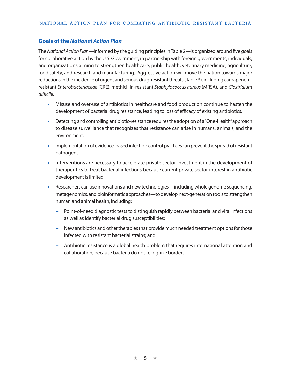## **Goals of the** *National Action Plan*

The *National Action Plan—*informed by the guiding principles in Table 2*—*is organized around five goals for collaborative action by the U.S. Government, in partnership with foreign governments, individuals, and organizations aiming to strengthen healthcare, public health, veterinary medicine, agriculture, food safety, and research and manufacturing. Aggressive action will move the nation towards major reductions in the incidence of urgent and serious drug-resistant threats (Table 3), including carbapenemresistant *Enterobacteriaceae* (CRE), methicillin-resistant *Staphylococcus aureus* (MRSA), and *Clostridium difficile.*

- Misuse and over-use of antibiotics in healthcare and food production continue to hasten the development of bacterial drug resistance, leading to loss of efficacy of existing antibiotics.
- Detecting and controlling antibiotic-resistance requires the adoption of a "One-Health" approach to disease surveillance that recognizes that resistance can arise in humans, animals, and the environment.
- Implementation of evidence-based infection control practices can prevent the spread of resistant pathogens.
- Interventions are necessary to accelerate private sector investment in the development of therapeutics to treat bacterial infections because current private sector interest in antibiotic development is limited.
- Researchers can use innovations and new technologies—including whole genome sequencing, metagenomics, and bioinformatic approaches—to develop next-generation tools to strengthen human and animal health, including:
	- **−** Point-of-need diagnostic tests to distinguish rapidly between bacterial and viral infections as well as identify bacterial drug susceptibilities;
	- **−** New antibiotics and other therapies that provide much needed treatment options for those infected with resistant bacterial strains; and
	- **−** Antibiotic resistance is a global health problem that requires international attention and collaboration, because bacteria do not recognize borders.

★ 5 ★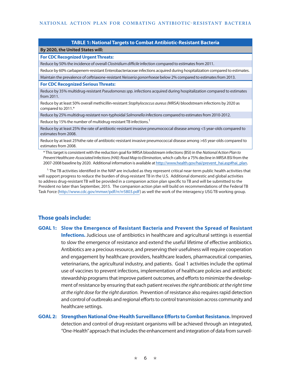#### **TABLE 1: National Targets to Combat Antibiotic-Resistant Bacteria**

#### **By 2020, the United States will: For CDC Recognized Urgent Threats:**

Reduce by 50% the incidence of overall *Clostridium difficile* infection compared to estimates from 2011.

Reduce by 60% carbapenem-resistant Enterobacteriaceae infections acquired during hospitalization compared to estimates.

Maintain the prevalence of ceftriaxone-resistant *Neisseria gonorrhoeae* below 2% compared to estimates from 2013.

#### **For CDC Recognized Serious Threats:**

Reduce by 35% multidrug-resistant *Pseudomonas sp*p. infections acquired during hospitalization compared to estimates from 2011.

Reduce by at least 50% overall methicillin-resistant *Staphylococcus aureus (*MRSA) bloodstream infections by 2020 as compared to 2011.\*

Reduce by 25% multidrug-resistant non-typhoidal *Salmonella i*nfections compared to estimates from 2010-2012.

Reduce by 15% the number of multidrug-resistant TB infections.<sup>1</sup>

Reduce by at least 25% the rate of antibiotic-resistant invasive pneumococcal disease among <5 year-olds compared to estimates from 2008.

Reduce by at least 25%the rate of antibiotic-resistant invasive pneumococcal disease among >65 year-olds compared to estimates from 2008.

\* This target is consistent with the reduction goal for MRSA bloodstream infections (BSI) in the *National Action Plan to Prevent Healthcare-Associated Infections (HAI): Road Map to Elimination,* which calls for a 75% decline in MRSA BSI from the 2007-2008 baseline by 2020. Additional information is available at http://www.health.gov/hai/prevent\_hai.asp#hai\_plan.

 $1$ . The TB activities identified in the NAP are included as they represent critical near-term public health activities that will support progress to reduce the burden of drug-resistant TB in the U.S. Additional domestic and global activities to address drug-resistant TB will be provided in a companion action plan specific to TB and will be submitted to the President no later than September, 2015. The companion action plan will build on recommendations of the Federal TB Task Force (http://www.cdc.gov/mmwr/pdf/rr/rr5803.pdf) as well the work of the interagency USG TB working group.

## **Those goals include:**

- **GOAL 1: Slow the Emergence of Resistant Bacteria and Prevent the Spread of Resistant Infections.** Judicious use of antibiotics in healthcare and agricultural settings is essential to slow the emergence of resistance and extend the useful lifetime of effective antibiotics. Antibiotics are a precious resource, and preserving their usefulness will require cooperation and engagement by healthcare providers, healthcare leaders, pharmaceutical companies, veterinarians, the agricultural industry, and patients. Goal 1 activities include the optimal use of vaccines to prevent infections, implementation of healthcare policies and antibiotic stewardship programs that improve patient outcomes, and efforts to minimize the development of resistance by ensuring that each patient receives *the right antibiotic at the right time at the right dose for the right duration.* Prevention of resistance also requires rapid detection and control of outbreaks and regional efforts to control transmission across community and healthcare settings.
- **GOAL 2: Strengthen National One-Health Surveillance Efforts to Combat Resistance.** Improved detection and control of drug-resistant organisms will be achieved through an integrated, "One-Health" approach that includes the enhancement and integration of data from surveil-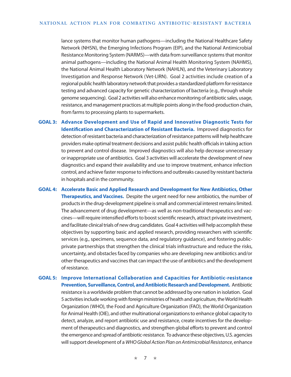lance systems that monitor human pathogens*—*including the National Healthcare Safety Network (NHSN), the Emerging Infections Program (EIP), and the National Antimicrobial Resistance Monitoring System (NARMS)*—*with data from surveillance systems that monitor animal pathogens—including the National Animal Health Monitoring System (NAHMS), the National Animal Health Laboratory Network (NAHLN), and the Veterinary Laboratory Investigation and Response Network (Vet-LIRN). Goal 2 activities include creation of a regional public health laboratory network that provides a standardized platform for resistance testing and advanced capacity for genetic characterization of bacteria (e.g., through whole genome sequencing). Goal 2 activities will also enhance monitoring of antibiotic sales, usage, resistance, and management practices at multiple points along in the food-production chain, from farms to processing plants to supermarkets.

**GOAL 3: Advance Development and Use of Rapid and Innovative Diagnostic Tests for Identification and Characterization of Resistant Bacteria.** Improved diagnostics for detection of resistant bacteria and characterization of resistance patterns will help healthcare providers make optimal treatment decisions and assist public health officials in taking action to prevent and control disease. Improved diagnostics will also help decrease unnecessary or inappropriate use of antibiotics. Goal 3 activities will accelerate the development of new diagnostics and expand their availability and use to improve treatment, enhance infection control, and achieve faster response to infections and outbreaks caused by resistant bacteria in hospitals and in the community.

**GOAL 4: Accelerate Basic and Applied Research and Development for New Antibiotics, Other Therapeutics, and Vaccines.** Despite the urgent need for new antibiotics, the number of products in the drug-development pipeline is small and commercial interest remains limited. The advancement of drug development—as well as non-traditional therapeutics and vaccines—will require intensified efforts to boost scientific research, attract private investment, and facilitate clinical trials of new drug candidates. Goal 4 activities will help accomplish these objectives by supporting basic and applied research, providing researchers with scientific services (e.g., specimens, sequence data, and regulatory guidance), and fostering publicprivate partnerships that strengthen the clinical trials infrastructure and reduce the risks, uncertainty, and obstacles faced by companies who are developing new antibiotics and/or other therapeutics and vaccines that can impact the use of antibiotics and the development of resistance.

**GOAL 5: Improve International Collaboration and Capacities for Antibiotic-resistance Prevention, Surveillance, Control, and Antibiotic Research and Development.** Antibiotic resistance is a worldwide problem that cannot be addressed by one nation in isolation. Goal 5 activities include working with foreign ministries of health and agriculture, the World Health Organization (WHO), the Food and Agriculture Organization (FAO), the World Organization for Animal Health (OIE), and other multinational organizations to enhance global capacity to detect, analyze, and report antibiotic use and resistance, create incentives for the development of therapeutics and diagnostics, and strengthen global efforts to prevent and control the emergence and spread of antibiotic-resistance. To advance these objectives, U.S. agencies will support development of a *WHO Global Action Plan on Antimicrobial Resistance*, enhance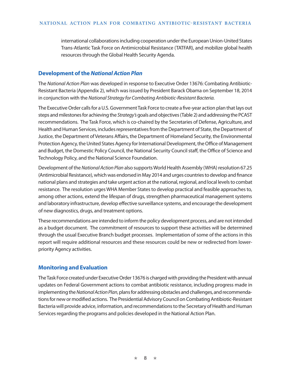international collaborations including cooperation under the European Union-United States Trans-Atlantic Task Force on Antimicrobial Resistance (TATFAR), and mobilize global health resources through the Global Health Security Agenda.

## **Development of the** *National Action Plan*

The *National Action Plan* was developed in response to Executive Order 13676: Combating Antibiotic-Resistant Bacteria (Appendix 2), which was issued by President Barack Obama on September 18, 2014 in conjunction with the *National Strategy for Combating Antibiotic-Resistant Bacteria.* 

The Executive Order calls for a U.S. Government Task Force to create a five-year action plan that lays out steps and milestones for achieving the *Strategy's* goals and objectives (Table 2) and addressing the PCAST recommendations. The Task Force, which is co-chaired by the Secretaries of Defense, Agriculture, and Health and Human Services, includes representatives from the Department of State, the Department of Justice, the Department of Veterans Affairs, the Department of Homeland Security, the Environmental Protection Agency, the United States Agency for International Development, the Office of Management and Budget, the Domestic Policy Council, the National Security Council staff, the Office of Science and Technology Policy, and the National Science Foundation.

Development of the *National Action Plan* also supports World Health Assembly (WHA) resolution 67.25 (Antimicrobial Resistance), which was endorsed in May 2014 and urges countries to develop and finance national plans and strategies and take urgent action at the national, regional, and local levels to combat resistance. The resolution urges WHA Member States to develop practical and feasible approaches to, among other actions, extend the lifespan of drugs, strengthen pharmaceutical management systems and laboratory infrastructure, develop effective surveillance systems, and encourage the development of new diagnostics, drugs, and treatment options.

These recommendations are intended to inform the policy development process, and are not intended as a budget document. The commitment of resources to support these activities will be determined through the usual Executive Branch budget processes. Implementation of some of the actions in this report will require additional resources and these resources could be new or redirected from lowerpriority Agency activities.

## **Monitoring and Evaluation**

The Task Force created under Executive Order 13676 is charged with providing the President with annual updates on Federal Government actions to combat antibiotic resistance, including progress made in implementing the *National Action Plan*, plans for addressing obstacles and challenges, and recommendations for new or modified actions. The Presidential Advisory Council on Combating Antibiotic-Resistant Bacteria will provide advice, information, and recommendations to the Secretary of Health and Human Services regarding the programs and policies developed in the National Action Plan.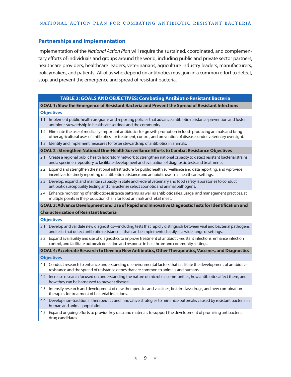#### **Partnerships and Implementation**

Implementation of the *National Action Plan* will require the sustained, coordinated, and complementary efforts of individuals and groups around the world, including public and private sector partners, healthcare providers, healthcare leaders, veterinarians, agriculture industry leaders, manufacturers, policymakers, and patients. All of us who depend on antibiotics must join in a common effort to detect, stop, and prevent the emergence and spread of resistant bacteria.

## **TABLE 2: GOALS AND OBJECTIVES: Combating Antibiotic-Resistant Bacteria GOAL 1: Slow the Emergence of Resistant Bacteria and Prevent the Spread of Resistant Infections Objectives** 1.1 Implement public health programs and reporting policies that advance antibiotic-resistance prevention and foster antibiotic stewardship in healthcare settings and the community. 1.2 Eliminate the use of medically-important antibiotics for growth promotion in food- producing animals and bring other agricultural uses of antibiotics, for treatment, control, and prevention of disease, under veterinary oversight. 1.3 Identify and implement measures to foster stewardship of antibiotics in animals. **GOAL 2 : Strengthen National One-Health Surveillance Efforts to Combat Resistance Objectives** 2.1 Create a regional public health laboratory network to strengthen national capacity to detect resistant bacterial strains and a specimen repository to facilitate development and evaluation of diagnostic tests and treatments. 2.2 Expand and strengthen the national infrastructure for public health surveillance and data reporting, and wprovide incentives for timely reporting of antibiotic-resistance and antibiotic use in all healthcare settings. 2.3 Develop, expand, and maintain capacity in State and Federal veterinary and food safety laboratories to conduct antibiotic susceptibility testing and characterize select zoonotic and animal pathogens. 2.4 Enhance monitoring of antibiotic-resistance patterns, as well as antibiotic sales, usage, and management practices, at multiple points in the production chain for food animals and retail meat. **GOAL 3:Advance Development and Use of Rapid and Innovative Diagnostic Tests for Identification and Characterization of Resistant Bacteria Objectives** 3.1 Develop and validate new diagnostics—including tests that rapidly distinguish between viral and bacterial pathogens and tests that detect antibiotic-resistance—that can be implemented easily in a wide range of settings. 3.2 Expand availability and use of diagnostics to improve treatment of antibiotic-resistant infections, enhance infection control, and facilitate outbreak detection and response in healthcare and community settings. **GOAL 4: Accelerate Research to Develop New Antibiotics, Other Therapeutics, Vaccines, and Diagnostics Objectives** 4.1 Conduct research to enhance understanding of environmental factors that facilitate the development of antibioticresistance and the spread of resistance genes that are common to animals and humans. 4.2 Increase research focused on understanding the nature of microbial communities, how antibiotics affect them, and how they can be harnessed to prevent disease. 4.3 Intensify research and development of new therapeutics and vaccines, first-in-class drugs, and new combination therapies for treatment of bacterial infections. 4.4 Develop non-traditional therapeutics and innovative strategies to minimize outbreaks caused by resistant bacteria in human and animal populations. 4.5 Expand ongoing efforts to provide key data and materials to support the development of promising antibacterial drug candidates.

★ 9 ★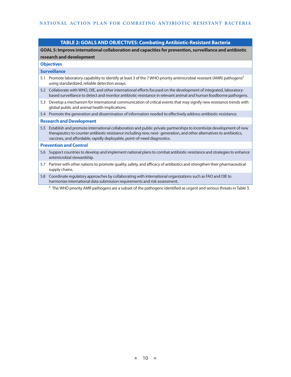#### **TABLE 2: GOALS AND OBJECTIVES: Combating Antibiotic-Resistant Bacteria**

**GOAL 5: Improve international collaboration and capacities for prevention, surveillance and antibiotic research and development**

#### **Objectives**

#### **Surveillance**

- 5.1 Promote laboratory capability to identify at least 3 of the 7 WHO priority antimicrobial resistant (AMR) pathogens<sup>2</sup> using standardized, reliable detection assays.
- 5.2 Collaborate with WHO, OIE, and other international efforts focused on the development of integrated, laboratorybased surveillance to detect and monitor antibiotic-resistance in relevant animal and human foodborne pathogens.
- 5.3 Develop a mechanism for international communication of critical events that may signify new resistance trends with global public and animal health implications.

5.4 Promote the generation and dissemination of information needed to effectively address antibiotic-resistance.

#### **Research and Development**

5.5 Establish and promote international collaboration and public-private partnerships to incentivize development of new therapeutics to counter antibiotic-resistance including new, next- generation, and other alternatives to antibiotics, vaccines, and affordable, rapidly deployable, point-of-need diagnostics.

#### **Prevention and Control**

- 5.6 Support countries to develop and implement national plans to combat antibiotic-resistance and strategies to enhance antimicrobial stewardship.
- 5.7 Partner with other nations to promote quality, safety, and efficacy of antibiotics and strengthen their pharmaceutical supply chains.
- 5.8 Coordinate regulatory approaches by collaborating with international organizations such as FAO and OIE to harmonize international data submission requirements and risk assessment.

<sup>2.</sup> The WHO priority AMR pathogens are a subset of the pathogens identified as urgent and serious threats in Table 3.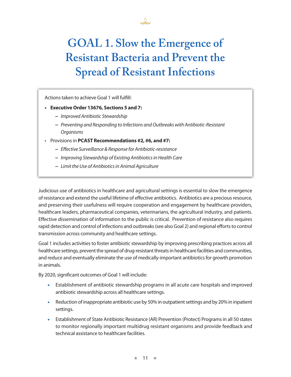

Actions taken to achieve Goal 1 will fulfill:

#### **• Executive Order 13676, Sections 5 and 7:**

- **−** *Improved Antibiotic Stewardship*
- **−** *Preventing and Responding to Infections and Outbreaks with Antibiotic-Resistant Organisms*
- Provisions in **PCAST Recommendations #2, #6, and #7:**
	- **−** *Effective Surveillance & Response for Antibiotic-resistance*
	- **−** *Improving Stewardship of Existing Antibiotics in Health Care*
	- **−** *Limit the Use of Antibiotics in Animal Agriculture*

Judicious use of antibiotics in healthcare and agricultural settings is essential to slow the emergence of resistance and extend the useful lifetime of effective antibiotics. Antibiotics are a precious resource, and preserving their usefulness will require cooperation and engagement by healthcare providers, healthcare leaders, pharmaceutical companies, veterinarians, the agricultural industry, and patients. Effective dissemination of information to the public is critical. Prevention of resistance also requires rapid detection and control of infections and outbreaks (see also Goal 2) and regional efforts to control transmission across community and healthcare settings.

Goal 1 includes activities to foster antibiotic stewardship by improving prescribing practices across all healthcare settings, prevent the spread of drug-resistant threats in healthcare facilities and communities, and reduce and eventually eliminate the use of medically-important antibiotics for growth promotion in animals.

By 2020, significant outcomes of Goal 1 will include:

- Establishment of antibiotic stewardship programs in all acute care hospitals and improved antibiotic stewardship across all healthcare settings.
- Reduction of inappropriate antibiotic use by 50% in outpatient settings and by 20% in inpatient settings.
- Establishment of State Antibiotic Resistance (AR) Prevention (Protect) Programs in all 50 states to monitor regionally important multidrug resistant organisms and provide feedback and technical assistance to healthcare facilities.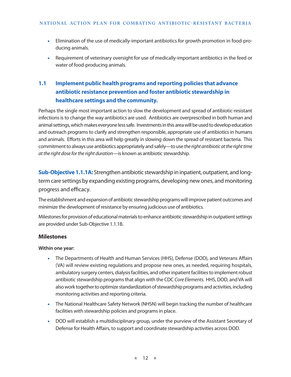- Elimination of the use of medically-important antibiotics for growth promotion in food-producing animals.
- Requirement of veterinary oversight for use of medically-important antibiotics in the feed or water of food-producing animals.

# **1.1 Implement public health programs and reporting policies that advance antibiotic resistance prevention and foster antibiotic stewardship in healthcare settings and the community.**

Perhaps the single most important action to slow the development and spread of antibiotic-resistant infections is to change the way antibiotics are used. Antibiotics are overprescribed in both human and animal settings, which makes everyone less safe. Investments in this area will be used to develop education and outreach programs to clarify and strengthen responsible, appropriate use of antibiotics in humans and animals. Efforts in this area will help greatly in slowing down the spread of resistant bacteria. This commitment to always use antibiotics appropriately and safely—to use *the right antibiotic at the right time at the right dose for the right duration*—is known as antibiotic stewardship.

**Sub-Objective 1.1.1A:** Strengthen antibiotic stewardship in inpatient, outpatient, and longterm care settings by expanding existing programs, developing new ones, and monitoring progress and efficacy.

The establishment and expansion of antibiotic stewardship programs will improve patient outcomes and minimize the development of resistance by ensuring judicious use of antibiotics.

Milestones for provision of educational materials to enhance antibiotic stewardship in outpatient settings are provided under Sub-Objective 1.1.1B.

## **Milestones**

## **Within one year:**

- The Departments of Health and Human Services (HHS), Defense (DOD), and Veterans Affairs (VA) will review existing regulations and propose new ones, as needed, requiring hospitals, ambulatory surgery centers, dialysis facilities, and other inpatient facilities to implement robust antibiotic stewardship programs that align with the CDC *Core Elements.* HHS, DOD, and VA will also work together to optimize standardization of stewardship programs and activities, including monitoring activities and reporting criteria.
- The National Healthcare Safety Network (NHSN) will begin tracking the number of healthcare facilities with stewardship policies and programs in place.
- DOD will establish a multidisciplinary group, under the purview of the Assistant Secretary of Defense for Health Affairs, to support and coordinate stewardship activities across DOD.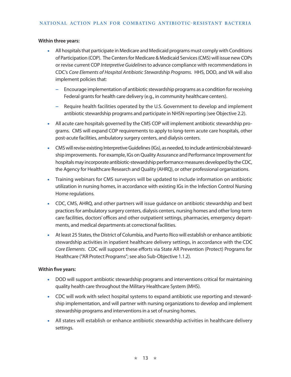#### **Within three years:**

- All hospitals that participate in Medicare and Medicaid programs must comply with Conditions of Participation (COP). The Centers for Medicare & Medicaid Services (CMS) will issue new COPs or revise current COP *Interpretive Guidelines* to advance compliance with recommendations in CDC's *Core Elements of Hospital Antibiotic Stewardship Programs.* HHS, DOD, and VA will also implement policies that:
	- **−** Encourage implementation of antibiotic stewardship programs as a condition for receiving Federal grants for health care delivery (e.g., in community healthcare centers).
	- **−** Require health facilities operated by the U.S. Government to develop and implement antibiotic stewardship programs and participate in NHSN reporting (see Objective 2.2).
- All acute care hospitals governed by the CMS COP will implement antibiotic stewardship programs. CMS will expand COP requirements to apply to long-term acute care hospitals, other post-acute facilities, ambulatory surgery centers, and dialysis centers.
- CMS will revise existing Interpretive Guidelines (IGs), as needed, to include antimicrobial stewardship improvements. For example, IGs on Quality Assurance and Performance Improvement for hospitals may incorporate antibiotic-stewardship performance measures developed by the CDC, the Agency for Healthcare Research and Quality (AHRQ), or other professional organizations.
- Training webinars for CMS surveyors will be updated to include information on antibiotic utilization in nursing homes, in accordance with existing IGs in the Infection Control Nursing Home regulations.
- CDC, CMS, AHRQ, and other partners will issue guidance on antibiotic stewardship and best practices for ambulatory surgery centers, dialysis centers, nursing homes and other long-term care facilities, doctors' offices and other outpatient settings, pharmacies, emergency departments, and medical departments at correctional facilities.
- At least 25 States, the District of Columbia, and Puerto Rico will establish or enhance antibiotic stewardship activities in inpatient healthcare delivery settings, in accordance with the CDC *Core Elements*. CDC will support these efforts via State AR Prevention (Protect) Programs for Healthcare ("AR Protect Programs"; see also Sub-Objective 1.1.2).

## **Within five years:**

- DOD will support antibiotic stewardship programs and interventions critical for maintaining quality health care throughout the Military Healthcare System (MHS).
- CDC will work with select hospital systems to expand antibiotic use reporting and stewardship implementation, and will partner with nursing organizations to develop and implement stewardship programs and interventions in a set of nursing homes.
- All states will establish or enhance antibiotic stewardship activities in healthcare delivery settings.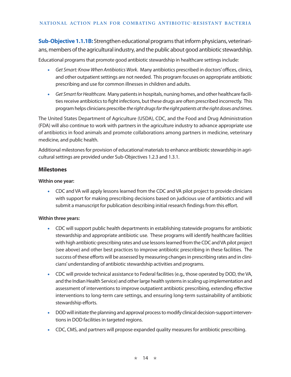**Sub-Objective 1.1.1B:** Strengthen educational programs that inform physicians, veterinarians, members of the agricultural industry, and the public about good antibiotic stewardship.

Educational programs that promote good antibiotic stewardship in healthcare settings include:

- *[Get Smart: Know When Antibiotics Work](http://www.cdc.gov/getsmart/community/index.html)*. Many antibiotics prescribed in doctors' offices, clinics, and other outpatient settings are not needed. This program focuses on appropriate antibiotic prescribing and use for common illnesses in children and adults.
- *[Get Smart for Healthcare](http://www.cdc.gov/getsmart/healthcare/index.html).* Many patients in hospitals, nursing homes, and other healthcare facilities receive antibiotics to fight infections, but these drugs are often prescribed incorrectly. This program helps clinicians prescribe *the right drugs for the right patients at the right doses and times*.

The United States Department of Agriculture (USDA), CDC, and the Food and Drug Administration (FDA) will also continue to work with partners in the agriculture industry to advance appropriate use of antibiotics in food animals and promote collaborations among partners in medicine, veterinary medicine, and public health.

Additional milestones for provision of educational materials to enhance antibiotic stewardship in agricultural settings are provided under Sub-Objectives 1.2.3 and 1.3.1.

## **Milestones**

#### **Within one year:**

• CDC and VA will apply lessons learned from the CDC and VA pilot project to provide clinicians with support for making prescribing decisions based on judicious use of antibiotics and will submit a manuscript for publication describing initial research findings from this effort.

## **Within three years:**

- CDC will support public health departments in establishing statewide programs for antibiotic stewardship and appropriate antibiotic use. These programs will identify healthcare facilities with high antibiotic-prescribing rates and use lessons learned from the CDC and VA pilot project (see above) and other best practices to improve antibiotic prescribing in these facilities. The success of these efforts will be assessed by measuring changes in prescribing rates and in clinicians' understanding of antibiotic stewardship activities and programs.
- CDC will provide technical assistance to Federal facilities (e.g., those operated by DOD, the VA, and the Indian Health Service) and other large health systems in scaling up implementation and assessment of interventions to improve outpatient antibiotic prescribing, extending effective interventions to long-term care settings, and ensuring long-term sustainability of antibiotic stewardship efforts.
- DOD will initiate the planning and approval process to modify clinical decision-support interventions in DOD facilities in targeted regions.
- CDC, CMS, and partners will propose expanded quality measures for antibiotic prescribing.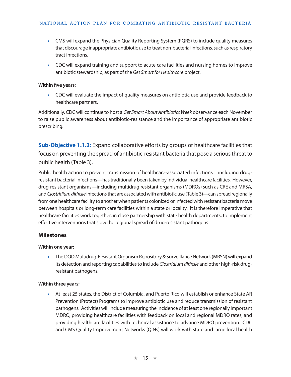- CMS will expand the Physician Quality Reporting System (PQRS) to include quality measures that discourage inappropriate antibiotic use to treat non-bacterial infections, such as respiratory tract infections.
- CDC will expand training and support to acute care facilities and nursing homes to improve antibiotic stewardship, as part of the *Get Smart for Healthcare* project.

• CDC will evaluate the impact of quality measures on antibiotic use and provide feedback to healthcare partners.

Additionally, CDC will continue to host a *Get Smart About Antibiotics Week* observance each November to raise public awareness about antibiotic-resistance and the importance of appropriate antibiotic prescribing.

**Sub-Objective 1.1.2:** Expand collaborative efforts by groups of healthcare facilities that focus on preventing the spread of antibiotic-resistant bacteria that pose a serious threat to public health (Table 3).

Public health action to prevent transmission of healthcare-associated infections—including drugresistant bacterial infections—has traditionally been taken by individual healthcare facilities. However, drug-resistant organisms—including multidrug resistant organisms (MDROs) such as CRE and MRSA, and *Clostridium difficile* infections that are associated with antibiotic use (Table 3)—can spread regionally from one healthcare facility to another when patients colonized or infected with resistant bacteria move between hospitals or long-term care facilities within a state or locality. It is therefore imperative that healthcare facilities work together, in close partnership with state health departments, to implement effective interventions that slow the regional spread of drug-resistant pathogens.

## **Milestones**

#### **Within one year:**

• The DOD Multidrug-Resistant Organism Repository & Surveillance Network (MRSN) will expand its detection and reporting capabilities to include *Clostridium difficile* and other high-risk drugresistant pathogens.

#### **Within three years:**

• At least 25 states, the District of Columbia, and Puerto Rico will establish or enhance State AR Prevention (Protect) Programs to improve antibiotic use and reduce transmission of resistant pathogens. Activities will include measuring the incidence of at least one regionally important MDRO, providing healthcare facilities with feedback on local and regional MDRO rates, and providing healthcare facilities with technical assistance to advance MDRO prevention. CDC and CMS Quality Improvement Networks (QINs) will work with state and large local health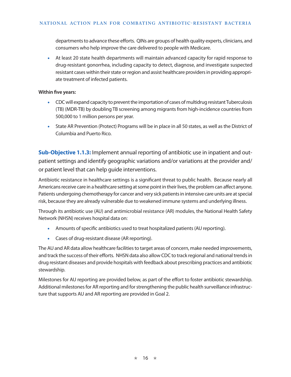departments to advance these efforts. QINs are groups of health quality experts, clinicians, and consumers who help improve the care delivered to people with Medicare.

• At least 20 state health departments will maintain advanced capacity for rapid response to drug-resistant gonorrhea, including capacity to detect, diagnose, and investigate suspected resistant cases within their state or region and assist healthcare providers in providing appropriate treatment of infected patients.

#### **Within five years:**

- CDC will expand capacity to prevent the importation of cases of multidrug resistant Tuberculosis (TB) (MDR-TB) by doubling TB screening among migrants from high-incidence countries from 500,000 to 1 million persons per year.
- State AR Prevention (Protect) Programs will be in place in all 50 states, as well as the District of Columbia and Puerto Rico.

**Sub-Objective 1.1.3:** Implement annual reporting of antibiotic use in inpatient and outpatient settings and identify geographic variations and/or variations at the provider and/ or patient level that can help guide interventions.

Antibiotic resistance in healthcare settings is a significant threat to public health. Because nearly all Americans receive care in a healthcare setting at some point in their lives, the problem can affect anyone. Patients undergoing chemotherapy for cancer and very sick patients in intensive care units are at special risk, because they are already vulnerable due to weakened immune systems and underlying illness.

Through its antibiotic use (AU) and antimicrobial resistance (AR) modules, the National Health Safety Network (NHSN) receives hospital data on:

- Amounts of specific antibiotics used to treat hospitalized patients (AU reporting).
- Cases of drug-resistant disease (AR reporting).

The AU and AR data allow healthcare facilities to target areas of concern, make needed improvements, and track the success of their efforts. NHSN data also allow CDC to track regional and national trends in drug resistant diseases and provide hospitals with feedback about prescribing practices and antibiotic stewardship.

Milestones for AU reporting are provided below, as part of the effort to foster antibiotic stewardship. Additional milestones for AR reporting and for strengthening the public health surveillance infrastructure that supports AU and AR reporting are provided in Goal 2.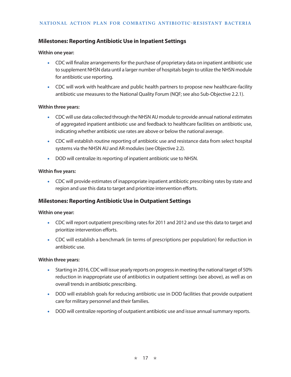## **Milestones: Reporting Antibiotic Use in Inpatient Settings**

#### **Within one year:**

- CDC will finalize arrangements for the purchase of proprietary data on inpatient antibiotic use to supplement NHSN data until a larger number of hospitals begin to utilize the NHSN module for antibiotic use reporting.
- CDC will work with healthcare and public health partners to propose new healthcare-facility antibiotic use measures to the National Quality Forum (NQF; see also Sub-Objective 2.2.1).

#### **Within three years:**

- CDC will use data collected through the NHSN AU module to provide annual national estimates of aggregated inpatient antibiotic use and feedback to healthcare facilities on antibiotic use, indicating whether antibiotic use rates are above or below the national average.
- CDC will establish routine reporting of antibiotic use and resistance data from select hospital systems via the NHSN AU and AR modules (see Objective 2.2).
- DOD will centralize its reporting of inpatient antibiotic use to NHSN.

#### **Within five years:**

• CDC will provide estimates of inappropriate inpatient antibiotic prescribing rates by state and region and use this data to target and prioritize intervention efforts.

## **Milestones: Reporting Antibiotic Use in Outpatient Settings**

#### **Within one year:**

- CDC will report outpatient prescribing rates for 2011 and 2012 and use this data to target and prioritize intervention efforts.
- CDC will establish a benchmark (in terms of prescriptions per population) for reduction in antibiotic use.

#### **Within three years:**

- Starting in 2016, CDC will issue yearly reports on progress in meeting the national target of 50% reduction in inappropriate use of antibiotics in outpatient settings (see above), as well as on overall trends in antibiotic prescribing.
- DOD will establish goals for reducing antibiotic use in DOD facilities that provide outpatient care for military personnel and their families.
- DOD will centralize reporting of outpatient antibiotic use and issue annual summary reports.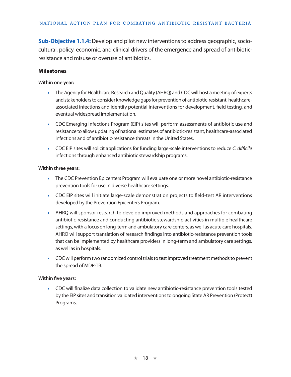**Sub-Objective 1.1.4:** Develop and pilot new interventions to address geographic, sociocultural, policy, economic, and clinical drivers of the emergence and spread of antibioticresistance and misuse or overuse of antibiotics.

#### **Milestones**

#### **Within one year:**

- The Agency for Healthcare Research and Quality (AHRQ) and CDC will host a meeting of experts and stakeholders to consider knowledge gaps for prevention of antibiotic-resistant, healthcareassociated infections and identify potential interventions for development, field testing, and eventual widespread implementation.
- CDC Emerging Infections Program (EIP) sites will perform assessments of antibiotic use and resistance to allow updating of national estimates of antibiotic-resistant, healthcare-associated infections and of antibiotic-resistance threats in the United States.
- CDC EIP sites will solicit applications for funding large-scale interventions to reduce *C. difficile* infections through enhanced antibiotic stewardship programs.

#### **Within three years:**

- The CDC Prevention Epicenters Program will evaluate one or more novel antibiotic-resistance prevention tools for use in diverse healthcare settings.
- CDC EIP sites will initiate large-scale demonstration projects to field-test AR interventions developed by the Prevention Epicenters Program.
- AHRQ will sponsor research to develop improved methods and approaches for combating antibiotic-resistance and conducting antibiotic stewardship activities in multiple healthcare settings, with a focus on long-term and ambulatory care centers, as well as acute care hospitals. AHRQ will support translation of research findings into antibiotic-resistance prevention tools that can be implemented by healthcare providers in long-term and ambulatory care settings, as well as in hospitals.
- CDC will perform two randomized control trials to test improved treatment methods to prevent the spread of MDR-TB.

#### **Within five years:**

• CDC will finalize data collection to validate new antibiotic-resistance prevention tools tested by the EIP sites and transition validated interventions to ongoing State AR Prevention (Protect) Programs.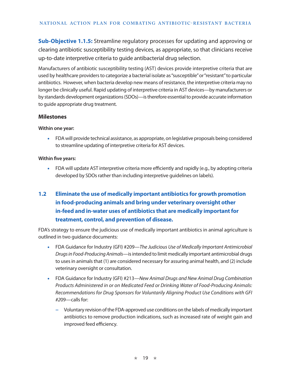**Sub-Objective 1.1.5:** Streamline regulatory processes for updating and approving or clearing antibiotic susceptibility testing devices, as appropriate, so that clinicians receive up-to-date interpretive criteria to guide antibacterial drug selection.

Manufacturers of antibiotic susceptibility testing (AST) devices provide interpretive criteria that are used by healthcare providers to categorize a bacterial isolate as "susceptible" or "resistant" to particular antibiotics. However, when bacteria develop new means of resistance, the interpretive criteria may no longer be clinically useful. Rapid updating of interpretive criteria in AST devices—by manufacturers or by standards development organizations (SDOs)—is therefore essential to provide accurate information to guide appropriate drug treatment.

## **Milestones**

#### **Within one year:**

• FDA will provide technical assistance, as appropriate, on legislative proposals being considered to streamline updating of interpretive criteria for AST devices.

#### **Within five years:**

• FDA will update AST interpretive criteria more efficiently and rapidly (e.g., by adopting criteria developed by SDOs rather than including interpretive guidelines on labels).

# **1.2 Eliminate the use of medically important antibiotics for growth promotion in food-producing animals and bring under veterinary oversight other in-feed and in-water uses of antibiotics that are medically important for treatment, control, and prevention of disease.**

FDA's strategy to ensure the judicious use of medically important antibiotics in animal agriculture is outlined in two guidance documents:

- FDA Guidance for Industry (GFI) #209—*The Judicious Use of Medically Important Antimicrobial Drugs in Food-Producing Animals*—is intended to limit medically important antimicrobial drugs to uses in animals that (1) are considered necessary for assuring animal health, and (2) include veterinary oversight or consultation.
- FDA Guidance for Industry (GFI) #213—*New Animal Drugs and New Animal Drug Combination Products Administered in or on Medicated Feed or Drinking Water of Food-Producing Animals: Recommendations for Drug Sponsors for Voluntarily Aligning Product Use Conditions with GFI #2*09—calls for:
	- **−** Voluntary revision of the FDA-approved use conditions on the labels of medically important antibiotics to remove production indications, such as increased rate of weight gain and improved feed efficiency.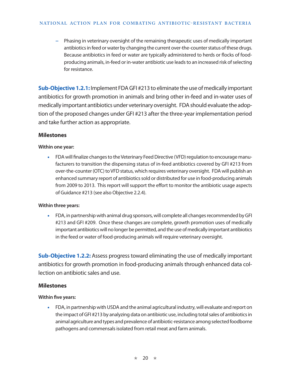#### **National Action Plan FOR CombatING Antibiotic- Resistant Bacteria**

**−** Phasing in veterinary oversight of the remaining therapeutic uses of medically important antibiotics in feed or water by changing the current over-the-counter status of these drugs. Because antibiotics in feed or water are typically administered to herds or flocks of foodproducing animals, in-feed or in-water antibiotic use leads to an increased risk of selecting for resistance.

**Sub-Objective 1.2.1:** Implement FDA GFI #213 to eliminate the use of medically important antibiotics for growth promotion in animals and bring other in-feed and in-water uses of medically important antibiotics under veterinary oversight. FDA should evaluate the adoption of the proposed changes under GFI #213 after the three-year implementation period and take further action as appropriate.

## **Milestones**

#### **Within one year:**

• FDA will finalize changes to the Veterinary Feed Directive (VFD) regulation to encourage manufacturers to transition the dispensing status of in-feed antibiotics covered by GFI #213 from over-the-counter (OTC) to VFD status, which requires veterinary oversight. FDA will publish an enhanced summary report of antibiotics sold or distributed for use in food-producing animals from 2009 to 2013. This report will support the effort to monitor the antibiotic usage aspects of Guidance #213 (see also Objective 2.2.4).

## **Within three years:**

• FDA, in partnership with animal drug sponsors, will complete all changes recommended by GFI #213 and GFI #209. Once these changes are complete, growth promotion uses of medically important antibiotics will no longer be permitted, and the use of medically important antibiotics in the feed or water of food-producing animals will require veterinary oversight.

**Sub-Objective 1.2.2:** Assess progress toward eliminating the use of medically important antibiotics for growth promotion in food-producing animals through enhanced data collection on antibiotic sales and use.

## **Milestones**

## **Within five years:**

• FDA, in partnership with USDA and the animal agricultural industry, will evaluate and report on the impact of GFI #213 by analyzing data on antibiotic use, including total sales of antibiotics in animal agriculture and types and prevalence of antibiotic-resistance among selected foodborne pathogens and commensals isolated from retail meat and farm animals.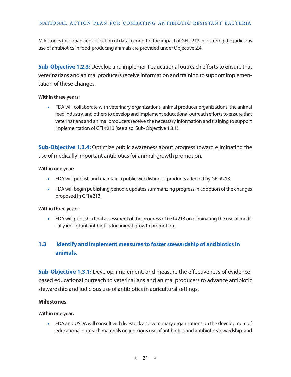Milestones for enhancing collection of data to monitor the impact of GFI #213 in fostering the judicious use of antibiotics in food-producing animals are provided under Objective 2.4.

**Sub-Objective 1.2.3:** Develop and implement educational outreach efforts to ensure that veterinarians and animal producers receive information and training to support implementation of these changes.

#### **Within three years:**

• FDA will collaborate with veterinary organizations, animal producer organizations, the animal feed industry, and others to develop and implement educational outreach efforts to ensure that veterinarians and animal producers receive the necessary information and training to support implementation of GFI #213 (see also: Sub-Objective 1.3.1).

**Sub-Objective 1.2.4:** Optimize public awareness about progress toward eliminating the use of medically important antibiotics for animal-growth promotion.

#### **Within one year:**

- FDA will publish and maintain a public web listing of products affected by GFI #213.
- FDA will begin publishing periodic updates summarizing progress in adoption of the changes proposed in GFI #213.

## **Within three years:**

• FDA will publish a final assessment of the progress of GFI #213 on eliminating the use of medically important antibiotics for animal-growth promotion.

# **1.3 Identify and implement measures to foster stewardship of antibiotics in animals.**

**Sub-Objective 1.3.1:** Develop, implement, and measure the effectiveness of evidencebased educational outreach to veterinarians and animal producers to advance antibiotic stewardship and judicious use of antibiotics in agricultural settings.

## **Milestones**

## **Within one year:**

• FDA and USDA will consult with livestock and veterinary organizations on the development of educational outreach materials on judicious use of antibiotics and antibiotic stewardship, and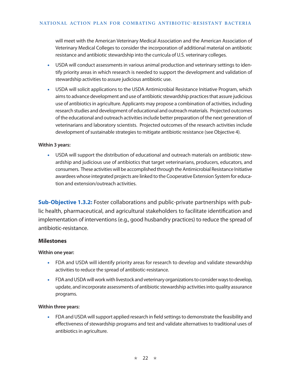will meet with the American Veterinary Medical Association and the American Association of Veterinary Medical Colleges to consider the incorporation of additional material on antibiotic resistance and antibiotic stewardship into the curricula of U.S. veterinary colleges.

- USDA will conduct assessments in various animal production and veterinary settings to identify priority areas in which research is needed to support the development and validation of stewardship activities to assure judicious antibiotic use.
- USDA will solicit applications to the USDA Antimicrobial Resistance Initiative Program, which aims to advance development and use of antibiotic stewardship practices that assure judicious use of antibiotics in agriculture. Applicants may propose a combination of activities, including research studies and development of educational and outreach materials. Projected outcomes of the educational and outreach activities include better preparation of the next generation of veterinarians and laboratory scientists. Projected outcomes of the research activities include development of sustainable strategies to mitigate antibiotic resistance (see Objective 4).

#### **Within 3 years:**

• USDA will support the distribution of educational and outreach materials on antibiotic stewardship and judicious use of antibiotics that target veterinarians, producers, educators, and consumers. These activities will be accomplished through the Antimicrobial Resistance Initiative awardees whose integrated projects are linked to the Cooperative Extension System for education and extension/outreach activities.

**Sub-Objective 1.3.2:** Foster collaborations and public-private partnerships with public health, pharmaceutical, and agricultural stakeholders to facilitate identification and implementation of interventions (e.g., good husbandry practices) to reduce the spread of antibiotic-resistance.

#### **Milestones**

#### **Within one year:**

- FDA and USDA will identify priority areas for research to develop and validate stewardship activities to reduce the spread of antibiotic-resistance.
- FDA and USDA will work with livestock and veterinary organizations to consider ways to develop, update, and incorporate assessments of antibiotic stewardship activities into quality assurance programs.

#### **Within three years:**

• FDA and USDA will support applied research in field settings to demonstrate the feasibility and effectiveness of stewardship programs and test and validate alternatives to traditional uses of antibiotics in agriculture.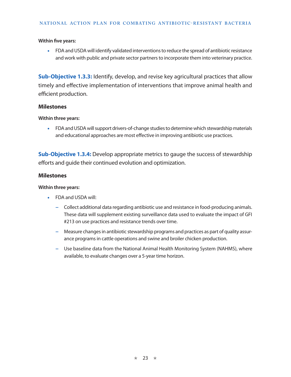• FDA and USDA will identify validated interventions to reduce the spread of antibiotic resistance and work with public and private sector partners to incorporate them into veterinary practice.

**Sub-Objective 1.3.3:** Identify, develop, and revise key agricultural practices that allow timely and effective implementation of interventions that improve animal health and efficient production.

#### **Milestones**

#### **Within three years:**

• FDA and USDA will support drivers-of-change studies to determine which stewardship materials and educational approaches are most effective in improving antibiotic use practices.

**Sub-Objective 1.3.4:** Develop appropriate metrics to gauge the success of stewardship efforts and guide their continued evolution and optimization.

## **Milestones**

#### **Within three years:**

- FDA and USDA will:
	- **−** Collect additional data regarding antibiotic use and resistance in food-producing animals. These data will supplement existing surveillance data used to evaluate the impact of GFI #213 on use practices and resistance trends over time.
	- **−** Measure changes in antibiotic stewardship programs and practices as part of quality assurance programs in cattle operations and swine and broiler chicken production.
	- **−** Use baseline data from the National Animal Health Monitoring System (NAHMS), where available, to evaluate changes over a 5-year time horizon.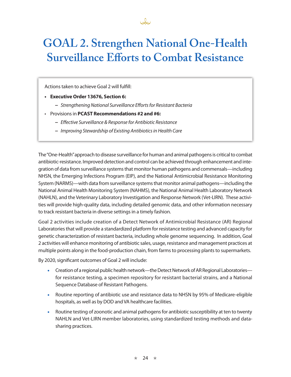

# **GOAL 2. Strengthen National One-Health Surveillance Efforts to Combat Resistance**

Actions taken to achieve Goal 2 will fulfill:

- **• Executive Order 13676, Section 6:** 
	- **−** *Strengthening National Surveillance Efforts for Resistant Bacteria*
- Provisions in **PCAST Recommendations #2 and #6:** 
	- **−** *Effective Surveillance & Response for Antibiotic Resistance*
	- **−** *Improving Stewardship of Existing Antibiotics in Health Care*

The "One-Health" approach to disease surveillance for human and animal pathogens is critical to combat antibiotic-resistance. Improved detection and control can be achieved through enhancement and integration of data from surveillance systems that monitor human pathogens and commensals—including NHSN, the Emerging Infections Program (EIP), and the National Antimicrobial Resistance Monitoring System (NARMS)—with data from surveillance systems that monitor animal pathogens—including the National Animal Health Monitoring System (NAHMS), the National Animal Health Laboratory Network (NAHLN), and the Veterinary Laboratory Investigation and Response Network (Vet-LIRN). These activities will provide high-quality data, including detailed genomic data, and other information necessary to track resistant bacteria in diverse settings in a timely fashion.

Goal 2 activities include creation of a Detect Network of Antimicrobial Resistance (AR) Regional Laboratories that will provide a standardized platform for resistance testing and advanced capacity for genetic characterization of resistant bacteria, including whole genome sequencing. In addition, Goal 2 activities will enhance monitoring of antibiotic sales, usage, resistance and management practices at multiple points along in the food-production chain, from farms to processing plants to supermarkets.

By 2020, significant outcomes of Goal 2 will include:

- Creation of a regional public health network—the Detect Network of AR Regional Laboratories for resistance testing, a specimen repository for resistant bacterial strains, and a National Sequence Database of Resistant Pathogens.
- Routine reporting of antibiotic use and resistance data to NHSN by 95% of Medicare-eligible hospitals, as well as by DOD and VA healthcare facilities.
- Routine testing of zoonotic and animal pathogens for antibiotic susceptibility at ten to twenty NAHLN and Vet-LIRN member laboratories, using standardized testing methods and datasharing practices.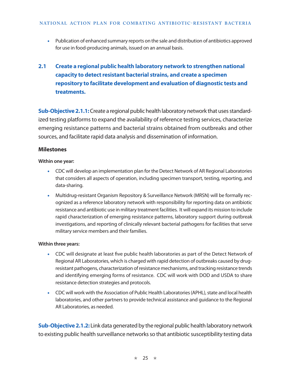• Publication of enhanced summary reports on the sale and distribution of antibiotics approved for use in food-producing animals, issued on an annual basis.

# **2.1 Create a regional public health laboratory network to strengthen national capacity to detect resistant bacterial strains, and create a specimen repository to facilitate development and evaluation of diagnostic tests and treatments.**

**Sub-Objective 2.1.1:** Create a regional public health laboratory network that uses standardized testing platforms to expand the availability of reference testing services, characterize emerging resistance patterns and bacterial strains obtained from outbreaks and other sources, and facilitate rapid data analysis and dissemination of information.

## **Milestones**

#### **Within one year:**

- CDC will develop an implementation plan for the Detect Network of AR Regional Laboratories that considers all aspects of operation, including specimen transport, testing, reporting, and data-sharing.
- Multidrug-resistant Organism Repository & Surveillance Network (MRSN) will be formally recognized as a reference laboratory network with responsibility for reporting data on antibiotic resistance and antibiotic use in military treatment facilities. It will expand its mission to include rapid characterization of emerging resistance patterns, laboratory support during outbreak investigations, and reporting of clinically relevant bacterial pathogens for facilities that serve military service members and their families.

## **Within three years:**

- CDC will designate at least five public health laboratories as part of the Detect Network of Regional AR Laboratories, which is charged with rapid detection of outbreaks caused by drugresistant pathogens, characterization of resistance mechanisms, and tracking resistance trends and identifying emerging forms of resistance. CDC will work with DOD and USDA to share resistance detection strategies and protocols.
- CDC will work with the Association of Public Health Laboratories (APHL), state and local health laboratories, and other partners to provide technical assistance and guidance to the Regional AR Laboratories, as needed.

**Sub-Objective 2.1.2:** Link data generated by the regional public health laboratory network to existing public health surveillance networks so that antibiotic susceptibility testing data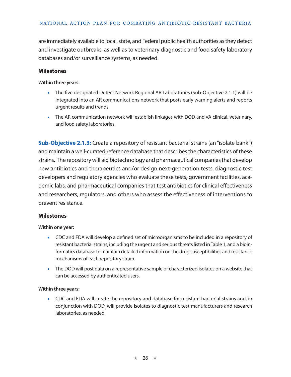are immediately available to local, state, and Federal public health authorities as they detect and investigate outbreaks, as well as to veterinary diagnostic and food safety laboratory databases and/or surveillance systems, as needed.

#### **Milestones**

#### **Within three years:**

- The five designated Detect Network Regional AR Laboratories (Sub-Objective 2.1.1) will be integrated into an AR communications network that posts early warning alerts and reports urgent results and trends.
- The AR communication network will establish linkages with DOD and VA clinical, veterinary, and food safety laboratories.

**Sub-Objective 2.1.3:** Create a repository of resistant bacterial strains (an "isolate bank") and maintain a well-curated reference database that describes the characteristics of these strains. The repository will aid biotechnology and pharmaceutical companies that develop new antibiotics and therapeutics and/or design next-generation tests, diagnostic test developers and regulatory agencies who evaluate these tests, government facilities, academic labs, and pharmaceutical companies that test antibiotics for clinical effectiveness and researchers, regulators, and others who assess the effectiveness of interventions to prevent resistance.

## **Milestones**

#### **Within one year:**

- CDC and FDA will develop a defined set of microorganisms to be included in a repository of resistant bacterial strains, including the urgent and serious threats listed in Table 1, and a bioinformatics database to maintain detailed information on the drug susceptibilities and resistance mechanisms of each repository strain.
- The DOD will post data on a representative sample of characterized isolates on a website that can be accessed by authenticated users.

#### **Within three years:**

• CDC and FDA will create the repository and database for resistant bacterial strains and, in conjunction with DOD, will provide isolates to diagnostic test manufacturers and research laboratories, as needed.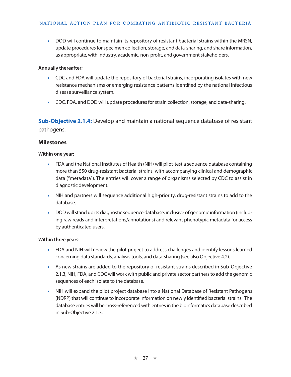• DOD will continue to maintain its repository of resistant bacterial strains within the MRSN, update procedures for specimen collection, storage, and data-sharing, and share information, as appropriate, with industry, academic, non-profit, and government stakeholders.

#### **Annually thereafter:**

- CDC and FDA will update the repository of bacterial strains, incorporating isolates with new resistance mechanisms or emerging resistance patterns identified by the national infectious disease surveillance system.
- CDC, FDA, and DOD will update procedures for strain collection, storage, and data-sharing.

**Sub-Objective 2.1.4:** Develop and maintain a national sequence database of resistant pathogens.

#### **Milestones**

#### **Within one year:**

- FDA and the National Institutes of Health (NIH) will pilot-test a sequence database containing more than 550 drug-resistant bacterial strains, with accompanying clinical and demographic data ("metadata"). The entries will cover a range of organisms selected by CDC to assist in diagnostic development.
- NIH and partners will sequence additional high-priority, drug-resistant strains to add to the database.
- DOD will stand up its diagnostic sequence database, inclusive of genomic information (including raw reads and interpretations/annotations) and relevant phenotypic metadata for access by authenticated users.

#### **Within three years:**

- FDA and NIH will review the pilot project to address challenges and identify lessons learned concerning data standards, analysis tools, and data-sharing (see also Objective 4.2).
- As new strains are added to the repository of resistant strains described in Sub-Objective 2.1.3, NIH, FDA, and CDC will work with public and private sector partners to add the genomic sequences of each isolate to the database.
- NIH will expand the pilot project database into a National Database of Resistant Pathogens (NDRP) that will continue to incorporate information on newly identified bacterial strains. The database entries will be cross-referenced with entries in the bioinformatics database described in Sub-Objective 2.1.3.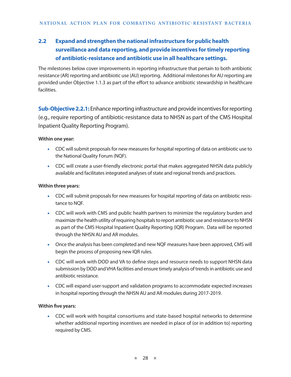# **2.2 Expand and strengthen the national infrastructure for public health surveillance and data reporting, and provide incentives for timely reporting of antibiotic-resistance and antibiotic use in all healthcare settings.**

The milestones below cover improvements in reporting infrastructure that pertain to both antibiotic resistance (AR) reporting and antibiotic use (AU) reporting. Additional milestones for AU reporting are provided under Objective 1.1.3 as part of the effort to advance antibiotic stewardship in healthcare facilities.

**Sub-Objective 2.2.1:** Enhance reporting infrastructure and provide incentives for reporting (e.g., require reporting of antibiotic-resistance data to NHSN as part of the CMS Hospital Inpatient Quality Reporting Program).

## **Within one year:**

- CDC will submit proposals for new measures for hospital reporting of data on antibiotic use to the National Quality Forum (NQF).
- CDC will create a user-friendly electronic portal that makes aggregated NHSN data publicly available and facilitates integrated analyses of state and regional trends and practices.

## **Within three years:**

- CDC will submit proposals for new measures for hospital reporting of data on antibiotic resistance to NQF.
- CDC will work with CMS and public health partners to minimize the regulatory burden and maximize the health utility of requiring hospitals to report antibiotic use and resistance to NHSN as part of the CMS Hospital Inpatient Quality Reporting (IQR) Program. Data will be reported through the NHSN AU and AR modules.
- Once the analysis has been completed and new NQF measures have been approved, CMS will begin the process of proposing new IQR rules.
- CDC will work with DOD and VA to define steps and resource needs to support NHSN data submission by DOD and VHA facilities and ensure timely analysis of trends in antibiotic use and antibiotic resistance.
- CDC will expand user-support and validation programs to accommodate expected increases in hospital reporting through the NHSN AU and AR modules during 2017-2019.

## **Within five years:**

• CDC will work with hospital consortiums and state-based hospital networks to determine whether additional reporting incentives are needed in place of (or in addition to) reporting required by CMS.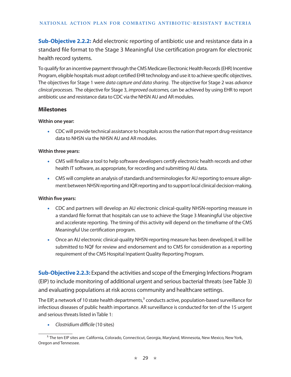**Sub-Objective 2.2.2:** Add electronic reporting of antibiotic use and resistance data in a standard file format to the Stage 3 Meaningful Use certification program for electronic health record systems.

To qualify for an incentive payment through the CMS Medicare Electronic Health Records (EHR) Incentive Program, eligible hospitals must adopt certified EHR technology and use it to achieve specific objectives. The objectives for Stage 1 were *data capture and data sharing*. The objective for Stage 2 was *advance clinical processes*. The objective for Stage 3, *improved outcomes,* can be achieved by using EHR to report antibiotic use and resistance data to CDC via the NHSN AU and AR modules.

## **Milestones**

#### **Within one year:**

• CDC will provide technical assistance to hospitals across the nation that report drug-resistance data to NHSN via the NHSN AU and AR modules.

#### **Within three years:**

- CMS will finalize a tool to help software developers certify electronic health records and other health IT software, as appropriate, for recording and submitting AU data.
- CMS will complete an analysis of standards and terminologies for AU reporting to ensure alignment between NHSN reporting and IQR reporting and to support local clinical decision-making.

#### **Within five years:**

- CDC and partners will develop an AU electronic clinical-quality NHSN-reporting measure in a standard file format that hospitals can use to achieve the Stage 3 Meaningful Use objective and accelerate reporting. The timing of this activity will depend on the timeframe of the CMS Meaningful Use certification program.
- Once an AU electronic clinical-quality NHSN-reporting measure has been developed, it will be submitted to NQF for review and endorsement and to CMS for consideration as a reporting requirement of the CMS Hospital Inpatient Quality Reporting Program.

**Sub-Objective 2.2.3:** Expand the activities and scope of the Emerging Infections Program (EIP) to include monitoring of additional urgent and serious bacterial threats (see Table 3) and evaluating populations at risk across community and healthcare settings.

The EIP, a network of 10 state health departments, $3$  conducts active, population-based surveillance for infectious diseases of public health importance. AR surveillance is conducted for ten of the 15 urgent and serious threats listed in Table 1:

• *Clostridium difficile* (10 sites)

<sup>&</sup>lt;sup>3.</sup> The ten EIP sites are: California, Colorado, Connecticut, Georgia, Maryland, Minnesota, New Mexico, New York, Oregon and Tennessee.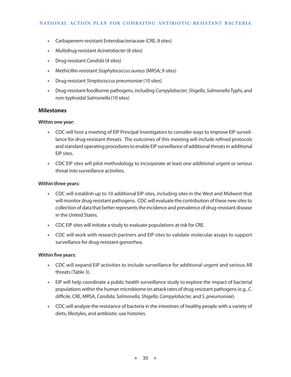- Carbapenem-resistant Enterobacteriaceae (CRE; 8 sites)
- Multidrug-resistant *Acinetobacter* (8 sites)
- Drug-resistant *Candida* (4 sites)
- Methicillin-resistant *Staphylococcus aureus* (MRSA; 9 sites)
- Drug-resistant *Streptococcus pneumoniae* (10 sites)
- Drug-resistant foodborne pathogens, including *Campylobacter*, *Shigella*, *Salmonella* Typhi, and non-typhoidal *Salmonella* (10 sites)

#### **Milestones**

#### **Within one year:**

- CDC will host a meeting of EIP Principal Investigators to consider ways to improve EIP surveillance for drug-resistant threats. The outcomes of this meeting will include refined protocols and standard operating procedures to enable EIP surveillance of additional threats in additional EIP sites.
- CDC EIP sites will pilot methodology to incorporate at least one additional urgent or serious threat into surveillance activities.

#### **Within three years:**

- CDC will establish up to 10 additional EIP sites, including sites in the West and Midwest that will monitor drug-resistant pathogens. CDC will evaluate the contribution of these new sites to collection of data that better represents the incidence and prevalence of drug-resistant disease in the United States.
- CDC EIP sites will initiate a study to evaluate populations at risk for CRE.
- CDC will work with research partners and EIP sites to validate molecular assays to support surveillance for drug-resistant gonorrhea.

#### **Within five years:**

- CDC will expand EIP activities to include surveillance for additional urgent and serious AR threats (Table 3).
- EIP will help coordinate a public health surveillance study to explore the impact of bacterial populations within the human microbiome on attack rates of drug-resistant pathogens (e.g., *C. difficile*, CRE, MRSA, *Candida, Salmonella, Shigella, Campylobacter,* and *S. pneumoniae*)*.*
- CDC will analyze the resistance of bacteria in the intestines of healthy people with a variety of diets, lifestyles, and antibiotic-use histories.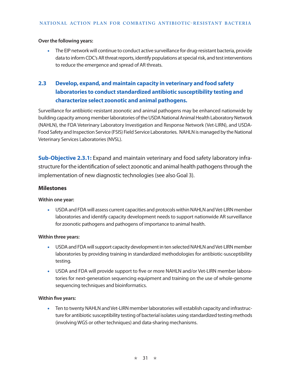#### **Over the following years:**

• The EIP network will continue to conduct active surveillance for drug-resistant bacteria, provide data to inform CDC's AR threat reports, identify populations at special risk, and test interventions to reduce the emergence and spread of AR threats.

# **2.3 Develop, expand, and maintain capacity in veterinary and food safety laboratories to conduct standardized antibiotic susceptibility testing and characterize select zoonotic and animal pathogens.**

Surveillance for antibiotic-resistant zoonotic and animal pathogens may be enhanced nationwide by building capacity among member laboratories of the USDA National Animal Health Laboratory Network (NAHLN), the FDA Veterinary Laboratory Investigation and Response Network (Vet-LIRN), and USDA-Food Safety and Inspection Service (FSIS) Field Service Laboratories. NAHLN is managed by the National Veterinary Services Laboratories (NVSL).

**Sub-Objective 2.3.1:** Expand and maintain veterinary and food safety laboratory infrastructure for the identification of select zoonotic and animal health pathogens through the implementation of new diagnostic technologies (see also Goal 3).

## **Milestones**

#### **Within one year:**

• USDA and FDA will assess current capacities and protocols within NAHLN and Vet-LIRN member laboratories and identify capacity development needs to support nationwide AR surveillance for zoonotic pathogens and pathogens of importance to animal health.

#### **Within three years:**

- USDA and FDA will support capacity development in ten selected NAHLN and Vet-LIRN member laboratories by providing training in standardized methodologies for antibiotic-susceptibility testing.
- USDA and FDA will provide support to five or more NAHLN and/or Vet-LIRN member laboratories for next-generation sequencing equipment and training on the use of whole-genome sequencing techniques and bioinformatics.

#### **Within five years:**

• Ten to twenty NAHLN and Vet-LIRN member laboratories will establish capacity and infrastructure for antibiotic susceptibility testing of bacterial isolates using standardized testing methods (involving WGS or other techniques) and data-sharing mechanisms.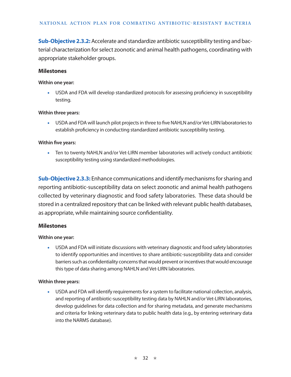**Sub-Objective 2.3.2:** Accelerate and standardize antibiotic susceptibility testing and bacterial characterization for select zoonotic and animal health pathogens, coordinating with appropriate stakeholder groups.

#### **Milestones**

#### **Within one year:**

• USDA and FDA will develop standardized protocols for assessing proficiency in susceptibility testing.

#### **Within three years:**

• USDA and FDA will launch pilot projects in three to five NAHLN and/or Vet-LIRN laboratories to establish proficiency in conducting standardized antibiotic susceptibility testing.

#### **Within five years:**

• Ten to twenty NAHLN and/or Vet-LIRN member laboratories will actively conduct antibiotic susceptibility testing using standardized methodologies.

**Sub-Objective 2.3.3:** Enhance communications and identify mechanisms for sharing and reporting antibiotic-susceptibility data on select zoonotic and animal health pathogens collected by veterinary diagnostic and food safety laboratories. These data should be stored in a centralized repository that can be linked with relevant public health databases, as appropriate, while maintaining source confidentiality.

#### **Milestones**

#### **Within one year:**

• USDA and FDA will initiate discussions with veterinary diagnostic and food safety laboratories to identify opportunities and incentives to share antibiotic-susceptibility data and consider barriers such as confidentiality concerns that would prevent or incentives that would encourage this type of data sharing among NAHLN and Vet-LIRN laboratories.

#### **Within three years:**

• USDA and FDA will identify requirements for a system to facilitate national collection, analysis, and reporting of antibiotic-susceptibility testing data by NAHLN and/or Vet-LIRN laboratories, develop guidelines for data collection and for sharing metadata, and generate mechanisms and criteria for linking veterinary data to public health data (e.g., by entering veterinary data into the NARMS database).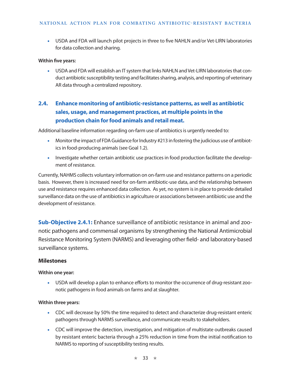• USDA and FDA will launch pilot projects in three to five NAHLN and/or Vet-LIRN laboratories for data collection and sharing.

#### **Within five years:**

• USDA and FDA will establish an IT system that links NAHLN and Vet-LIRN laboratories that conduct antibiotic susceptibility testing and facilitates sharing, analysis, and reporting of veterinary AR data through a centralized repository.

# **2.4. Enhance monitoring of antibiotic-resistance patterns, as well as antibiotic sales, usage, and management practices, at multiple points in the production chain for food animals and retail meat.**

Additional baseline information regarding on-farm use of antibiotics is urgently needed to:

- Monitor the impact of FDA Guidance for Industry #213 in fostering the judicious use of antibiotics in food-producing animals (see Goal 1.2).
- Investigate whether certain antibiotic use practices in food production facilitate the development of resistance.

Currently, NAHMS collects voluntary information on on-farm use and resistance patterns on a periodic basis. However, there is increased need for on-farm antibiotic-use data, and the relationship between use and resistance requires enhanced data collection. As yet, no system is in place to provide detailed surveillance data on the use of antibiotics in agriculture or associations between antibiotic use and the development of resistance.

**Sub-Objective 2.4.1:** Enhance surveillance of antibiotic resistance in animal and zoonotic pathogens and commensal organisms by strengthening the National Antimicrobial Resistance Monitoring System (NARMS) and leveraging other field- and laboratory-based surveillance systems.

## **Milestones**

#### **Within one year:**

• USDA will develop a plan to enhance efforts to monitor the occurrence of drug-resistant zoonotic pathogens in food animals on farms and at slaughter.

#### **Within three years:**

- CDC will decrease by 50% the time required to detect and characterize drug-resistant enteric pathogens through NARMS surveillance, and communicate results to stakeholders.
- CDC will improve the detection, investigation, and mitigation of multistate outbreaks caused by resistant enteric bacteria through a 25% reduction in time from the initial notification to NARMS to reporting of susceptibility testing results.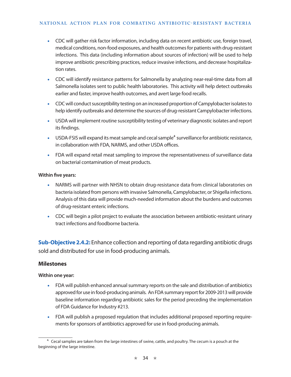- CDC will gather risk factor information, including data on recent antibiotic use, foreign travel, medical conditions, non-food exposures, and health outcomes for patients with drug-resistant infections. This data (including information about sources of infection) will be used to help improve antibiotic prescribing practices, reduce invasive infections, and decrease hospitalization rates.
- CDC will identify resistance patterns for Salmonella by analyzing near-real-time data from all Salmonella isolates sent to public health laboratories. This activity will help detect outbreaks earlier and faster, improve health outcomes, and avert large food recalls.
- CDC will conduct susceptibility testing on an increased proportion of Campylobacter isolates to help identify outbreaks and determine the sources of drug-resistant Campylobacter infections.
- USDA will implement routine susceptibility testing of veterinary diagnostic isolates and report its findings.
- USDA-FSIS will expand its meat sample and cecal sample<sup>4</sup> surveillance for antibiotic resistance, in collaboration with FDA, NARMS, and other USDA offices.
- FDA will expand retail meat sampling to improve the representativeness of surveillance data on bacterial contamination of meat products.

- NARMS will partner with NHSN to obtain drug-resistance data from clinical laboratories on bacteria isolated from persons with invasive Salmonella, Campylobacter, or Shigella infections. Analysis of this data will provide much-needed information about the burdens and outcomes of drug-resistant enteric infections.
- CDC will begin a pilot project to evaluate the association between antibiotic-resistant urinary tract infections and foodborne bacteria.

**Sub-Objective 2.4.2:** Enhance collection and reporting of data regarding antibiotic drugs sold and distributed for use in food-producing animals.

## **Milestones**

## **Within one year:**

- FDA will publish enhanced annual summary reports on the sale and distribution of antibiotics approved for use in food-producing animals. An FDA summary report for 2009-2013 will provide baseline information regarding antibiotic sales for the period preceding the implementation of FDA Guidance for Industry #213.
- FDA will publish a proposed regulation that includes additional proposed reporting requirements for sponsors of antibiotics approved for use in food-producing animals.

<sup>4.</sup> Cecal samples are taken from the large intestines of swine, cattle, and poultry. The cecum is a pouch at the beginning of the large intestine.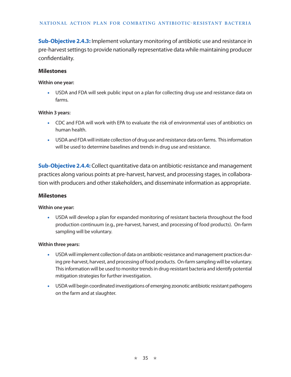**Sub-Objective 2.4.3:** Implement voluntary monitoring of antibiotic use and resistance in pre-harvest settings to provide nationally representative data while maintaining producer confidentiality.

#### **Milestones**

#### **Within one year:**

• USDA and FDA will seek public input on a plan for collecting drug use and resistance data on farms.

#### **Within 3 years:**

- CDC and FDA will work with EPA to evaluate the risk of environmental uses of antibiotics on human health.
- USDA and FDA will initiate collection of drug use and resistance data on farms. This information will be used to determine baselines and trends in drug use and resistance.

**Sub-Objective 2.4.4:** Collect quantitative data on antibiotic-resistance and management practices along various points at pre-harvest, harvest, and processing stages, in collaboration with producers and other stakeholders, and disseminate information as appropriate.

#### **Milestones**

#### **Within one year:**

• USDA will develop a plan for expanded monitoring of resistant bacteria throughout the food production continuum (e.g., pre-harvest, harvest, and processing of food products). On-farm sampling will be voluntary.

#### **Within three years:**

- USDA will implement collection of data on antibiotic-resistance and management practices during pre-harvest, harvest, and processing of food products. On-farm sampling will be voluntary. This information will be used to monitor trends in drug-resistant bacteria and identify potential mitigation strategies for further investigation.
- USDA will begin coordinated investigations of emerging zoonotic antibiotic resistant pathogens on the farm and at slaughter.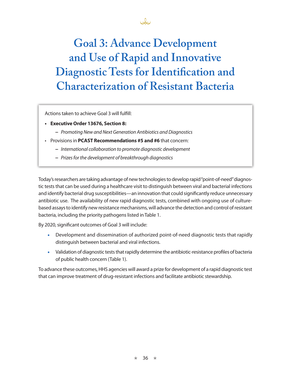# **Goal 3: Advance Development and Use of Rapid and Innovative Diagnostic Tests for Identification and Characterization of Resistant Bacteria**

John

Actions taken to achieve Goal 3 will fulfill:

- **• Executive Order 13676, Section 8:** 
	- **−** *Promoting New and Next Generation Antibiotics and Diagnostics*
- Provisions in **PCAST Recommendations #5 and #6** that concern:
	- **−** *International collaboration to promote diagnostic development*
	- **−** *Prizes for the development of breakthrough diagnostics*

Today's researchers are taking advantage of new technologies to develop rapid "point-of-need" diagnostic tests that can be used during a healthcare visit to distinguish between viral and bacterial infections and identify bacterial drug susceptibilities—an innovation that could significantly reduce unnecessary antibiotic use. The availability of new rapid diagnostic tests, combined with ongoing use of culturebased assays to identify new resistance mechanisms, will advance the detection and control of resistant bacteria, including the priority pathogens listed in Table 1.

By 2020, significant outcomes of Goal 3 will include:

- Development and dissemination of authorized point-of-need diagnostic tests that rapidly distinguish between bacterial and viral infections.
- Validation of diagnostic tests that rapidly determine the antibiotic-resistance profiles of bacteria of public health concern (Table 1).

To advance these outcomes, HHS agencies will award a prize for development of a rapid diagnostic test that can improve treatment of drug-resistant infections and facilitate antibiotic stewardship.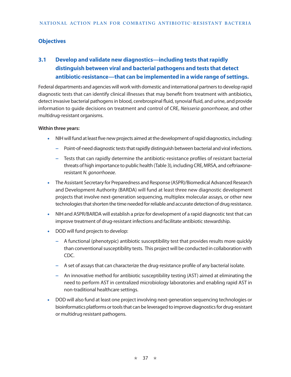## **Objectives**

# **3.1 Develop and validate new diagnostics—including tests that rapidly distinguish between viral and bacterial pathogens and tests that detect antibiotic-resistance—that can be implemented in a wide range of settings.**

Federal departments and agencies will work with domestic and international partners to develop rapid diagnostic tests that can identify clinical illnesses that may benefit from treatment with antibiotics, detect invasive bacterial pathogens in blood, cerebrospinal fluid, synovial fluid, and urine, and provide information to guide decisions on treatment and control of CRE, *Neisseria gonorrhoeae*, and other multidrug-resistant organisms.

#### **Within three years:**

- NIH will fund at least five new projects aimed at the development of rapid diagnostics, including:
	- **−** Point-of-need diagnostic tests that rapidly distinguish between bacterial and viral infections.
	- **−** Tests that can rapidly determine the antibiotic-resistance profiles of resistant bacterial threats of high importance to public health (Table 3), including CRE, MRSA, and ceftriaxoneresistant *N. gonorrhoeae*.
- The Assistant Secretary for Preparedness and Response (ASPR)/Biomedical Advanced Research and Development Authority (BARDA) will fund at least three new diagnostic development projects that involve next-generation sequencing, multiplex molecular assays, or other new technologies that shorten the time needed for reliable and accurate detection of drug resistance.
- NIH and ASPR/BARDA will establish a prize for development of a rapid diagnostic test that can improve treatment of drug-resistant infections and facilitate antibiotic stewardship.
- DOD will fund projects to develop:
	- **−** A functional (phenotypic) antibiotic susceptibility test that provides results more quickly than conventional susceptibility tests. This project will be conducted in collaboration with CDC.
	- **−** A set of assays that can characterize the drug-resistance profile of any bacterial isolate.
	- **−** An innovative method for antibiotic susceptibility testing (AST) aimed at eliminating the need to perform AST in centralized microbiology laboratories and enabling rapid AST in non-traditional healthcare settings.
- DOD will also fund at least one project involving next-generation sequencing technologies or bioinformatics platforms or tools that can be leveraged to improve diagnostics for drug-resistant or multidrug resistant pathogens.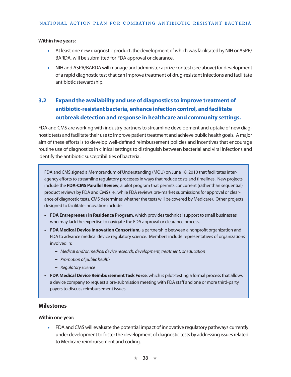- At least one new diagnostic product, the development of which was facilitated by NIH or ASPR/ BARDA, will be submitted for FDA approval or clearance.
- NIH and ASPR/BARDA will manage and administer a prize contest (see above) for development of a rapid diagnostic test that can improve treatment of drug-resistant infections and facilitate antibiotic stewardship.

# **3.2 Expand the availability and use of diagnostics to improve treatment of antibiotic-resistant bacteria, enhance infection control, and facilitate outbreak detection and response in healthcare and community settings.**

FDA and CMS are working with industry partners to streamline development and uptake of new diagnostic tests and facilitate their use to improve patient treatment and achieve public health goals. A major aim of these efforts is to develop well-defined reimbursement policies and incentives that encourage routine use of diagnostics in clinical settings to distinguish between bacterial and viral infections and identify the antibiotic susceptibilities of bacteria.

FDA and CMS signed a Memorandum of Understanding (MOU) on June 18, 2010 that facilitates interagency efforts to streamline regulatory processes in ways that reduce costs and timelines. New projects include the **FDA-CMS Parallel Review**, a pilot program that permits concurrent (rather than sequential) product reviews by FDA and CMS (i.e., while FDA reviews pre-market submissions for approval or clearance of diagnostic tests, CMS determines whether the tests will be covered by Medicare). Other projects designed to facilitate innovation include:

- **• FDA Entrepreneur in Residence Program,** which provides technical support to small businesses who may lack the expertise to navigate the FDA approval or clearance process.
- **• FDA Medical Device Innovation Consortium,** a partnership between a nonprofit organization and FDA to advance medical device regulatory science. Members include representatives of organizations involved in:
	- **−** *Medical and/or medical device research, development, treatment, or education*
	- **−** *Promotion of public health*
	- **−** *Regulatory science*
- **• FDA Medical Device Reimbursement Task Force**, which is pilot-testing a formal process that allows a device company to request a pre-submission meeting with FDA staff and one or more third-party payers to discuss reimbursement issues.

## **Milestones**

**Within one year:** 

• FDA and CMS will evaluate the potential impact of innovative regulatory pathways currently under development to foster the development of diagnostic tests by addressing issues related to Medicare reimbursement and coding.

★ 38 ★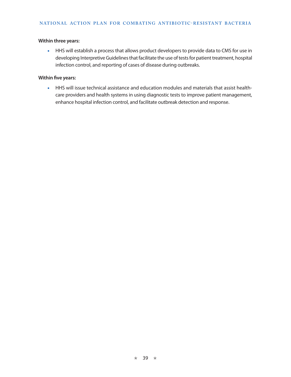#### **Within three years:**

• HHS will establish a process that allows product developers to provide data to CMS for use in developing Interpretive Guidelines that facilitate the use of tests for patient treatment, hospital infection control, and reporting of cases of disease during outbreaks.

#### **Within five years:**

• HHS will issue technical assistance and education modules and materials that assist healthcare providers and health systems in using diagnostic tests to improve patient management, enhance hospital infection control, and facilitate outbreak detection and response.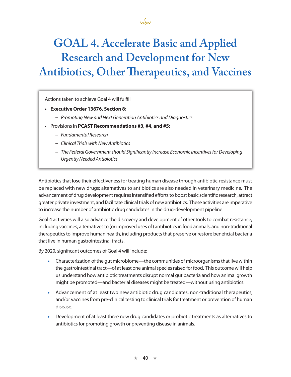# **GOAL 4. Accelerate Basic and Applied Research and Development for New Antibiotics, Other Therapeutics, and Vaccines**

John

Actions taken to achieve Goal 4 will fulfill

- **• Executive Order 13676, Section 8:**
	- **−** *Promoting New and Next Generation Antibiotics and Diagnostics.*
- Provisions in **PCAST Recommendations #3, #4, and #5:**
	- **−** *Fundamental Research*
	- **−** *Clinical Trials with New Antibiotics*
	- **−** *The Federal Government should Significantly Increase Economic Incentives for Developing Urgently Needed Antibiotics*

Antibiotics that lose their effectiveness for treating human disease through antibiotic-resistance must be replaced with new drugs; alternatives to antibiotics are also needed in veterinary medicine. The advancement of drug development requires intensified efforts to boost basic scientific research, attract greater private investment, and facilitate clinical trials of new antibiotics. These activities are imperative to increase the number of antibiotic drug candidates in the drug-development pipeline.

Goal 4 activities will also advance the discovery and development of other tools to combat resistance, including vaccines, alternatives to (or improved uses of) antibiotics in food animals, and non-traditional therapeutics to improve human health, including products that preserve or restore beneficial bacteria that live in human gastrointestinal tracts.

By 2020, significant outcomes of Goal 4 will include:

- Characterization of the gut microbiome—the communities of microorganisms that live within the gastrointestinal tract—of at least one animal species raised for food. This outcome will help us understand how antibiotic treatments disrupt normal gut bacteria and how animal growth might be promoted—and bacterial diseases might be treated—without using antibiotics.
- Advancement of at least two new antibiotic drug candidates, non-traditional therapeutics, and/or vaccines from pre-clinical testing to clinical trials for treatment or prevention of human disease.
- Development of at least three new drug candidates or probiotic treatments as alternatives to antibiotics for promoting growth or preventing disease in animals.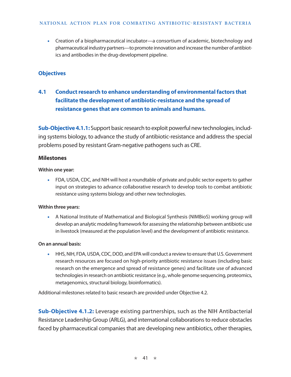• Creation of a biopharmaceutical incubator—a consortium of academic, biotechnology and pharmaceutical industry partners—to promote innovation and increase the number of antibiotics and antibodies in the drug-development pipeline.

## **Objectives**

# **4.1 Conduct research to enhance understanding of environmental factors that facilitate the development of antibiotic-resistance and the spread of resistance genes that are common to animals and humans.**

**Sub-Objective 4.1.1:** Support basic research to exploit powerful new technologies, including systems biology, to advance the study of antibiotic-resistance and address the special problems posed by resistant Gram-negative pathogens such as CRE.

## **Milestones**

#### **Within one year:**

• FDA, USDA, CDC, and NIH will host a roundtable of private and public sector experts to gather input on strategies to advance collaborative research to develop tools to combat antibiotic resistance using systems biology and other new technologies.

## **Within three years:**

• A National Institute of Mathematical and Biological Synthesis (NIMBioS) working group will develop an analytic modeling framework for assessing the relationship between antibiotic use in livestock (measured at the population level) and the development of antibiotic resistance.

## **On an annual basis:**

• HHS, NIH, FDA, USDA, CDC, DOD, and EPA will conduct a review to ensure that U.S. Government research resources are focused on high-priority antibiotic resistance issues (including basic research on the emergence and spread of resistance genes) and facilitate use of advanced technologies in research on antibiotic resistance (e.g., whole genome sequencing, proteomics, metagenomics, structural biology, bioinformatics).

Additional milestones related to basic research are provided under Objective 4.2.

**Sub-Objective 4.1.2:** Leverage existing partnerships, such as the NIH Antibacterial Resistance Leadership Group (ARLG), and international collaborations to reduce obstacles faced by pharmaceutical companies that are developing new antibiotics, other therapies,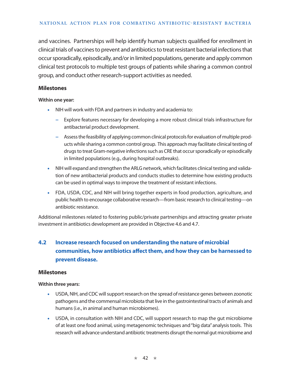and vaccines. Partnerships will help identify human subjects qualified for enrollment in clinical trials of vaccines to prevent and antibiotics to treat resistant bacterial infections that occur sporadically, episodically, and/or in limited populations, generate and apply common clinical test protocols to multiple test groups of patients while sharing a common control group, and conduct other research-support activities as needed.

## **Milestones**

#### **Within one year:**

- NIH will work with FDA and partners in industry and academia to:
	- **−** Explore features necessary for developing a more robust clinical trials infrastructure for antibacterial product development.
	- **−** Assess the feasibility of applying common clinical protocols for evaluation of multiple products while sharing a common control group. This approach may facilitate clinical testing of drugs to treat Gram-negative infections such as CRE that occur sporadically or episodically in limited populations (e.g., during hospital outbreaks).
- NIH will expand and strengthen the ARLG network, which facilitates clinical testing and validation of new antibacterial products and conducts studies to determine how existing products can be used in optimal ways to improve the treatment of resistant infections.
- FDA, USDA, CDC, and NIH will bring together experts in food production, agriculture, and public health to encourage collaborative research—from basic research to clinical testing—on antibiotic resistance.

Additional milestones related to fostering public/private partnerships and attracting greater private investment in antibiotics development are provided in Objective 4.6 and 4.7.

# **4.2 Increase research focused on understanding the nature of microbial communities, how antibiotics affect them, and how they can be harnessed to prevent disease.**

## **Milestones**

**Within three years:** 

- USDA, NIH, and CDC will support research on the spread of resistance genes between zoonotic pathogens and the commensal microbiota that live in the gastrointestinal tracts of animals and humans (i.e., in animal and human microbiomes).
- USDA, in consultation with NIH and CDC, will support research to map the gut microbiome of at least one food animal, using metagenomic techniques and "big data" analysis tools. This research will advance understand antibiotic treatments disrupt the normal gut microbiome and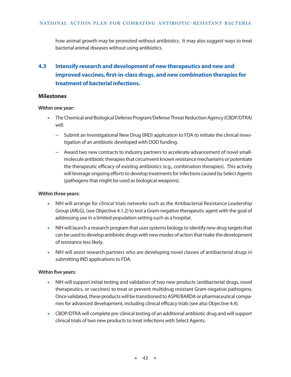how animal growth may be promoted without antibiotics. It may also suggest ways to treat bacterial animal diseases without using antibiotics.

# **4.3 Intensify research and development of new therapeutics and new and improved vaccines, first-in-class drugs, and new combination therapies for treatment of bacterial infections.**

## **Milestones**

#### **Within one year:**

- The Chemical and Biological Defense Program/Defense Threat Reduction Agency (CBDP/DTRA) will:
	- **−** Submit an Investigational New Drug (IND) application to FDA to initiate the clinical investigation of an antibiotic developed with DOD funding.
	- **−** Award two new contracts to industry partners to accelerate advancement of novel smallmolecule antibiotic therapies that circumvent known resistance mechanisms or potentiate the therapeutic efficacy of existing antibiotics (e.g., combination therapies). This activity will leverage ongoing efforts to develop treatments for infections caused by Select Agents (pathogens that might be used as biological weapons).

#### **Within three years:**

- NIH will arrange for clinical trials networks such as the Antibacterial Resistance Leadership Group (ARLG), (see Objective 4.1.2) to test a Gram-negative therapeutic agent with the goal of addressing use in a limited-population setting such as a hospital.
- NIH will launch a research program that uses systems biology to identify new drug targets that can be used to develop antibiotic drugs with new modes of action that make the development of resistance less likely.
- NIH will assist research partners who are developing novel classes of antibacterial drugs in submitting IND applications to FDA.

#### **Within five years:**

- NIH will support initial testing and validation of two new products (antibacterial drugs, novel therapeutics, or vaccines) to treat or prevent multidrug resistant Gram-negative pathogens. Once validated, these products will be transitioned to ASPR/BARDA or pharmaceutical companies for advanced development, including clinical efficacy trials (see also Objective 4.4).
- CBDP/DTRA will complete pre-clinical testing of an additional antibiotic drug and will support clinical trials of two new products to treat infections with Select Agents.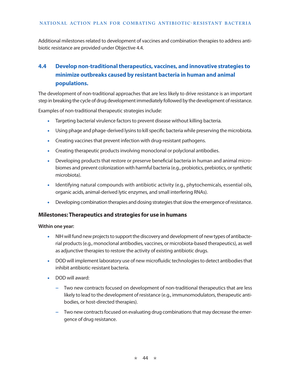Additional milestones related to development of vaccines and combination therapies to address antibiotic resistance are provided under Objective 4.4.

# **4.4 Develop non-traditional therapeutics, vaccines, and innovative strategies to minimize outbreaks caused by resistant bacteria in human and animal populations.**

The development of non-traditional approaches that are less likely to drive resistance is an important step in breaking the cycle of drug development immediately followed by the development of resistance.

Examples of non-traditional therapeutic strategies include:

- Targeting bacterial virulence factors to prevent disease without killing bacteria.
- Using phage and phage-derived lysins to kill specific bacteria while preserving the microbiota.
- Creating vaccines that prevent infection with drug-resistant pathogens.
- Creating therapeutic products involving monoclonal or polyclonal antibodies.
- Developing products that restore or preserve beneficial bacteria in human and animal microbiomes and prevent colonization with harmful bacteria (e.g., probiotics, prebiotics, or synthetic microbiota).
- Identifying natural compounds with antibiotic activity (e.g., phytochemicals, essential oils, organic acids, animal-derived lytic enzymes, and small interfering RNAs).
- Developing combination therapies and dosing strategies that slow the emergence of resistance.

## **Milestones: Therapeutics and strategies for use in humans**

#### **Within one year:**

- NIH will fund new projects to support the discovery and development of new types of antibacterial products (e.g., monoclonal antibodies, vaccines, or microbiota-based therapeutics), as well as adjunctive therapies to restore the activity of existing antibiotic drugs.
- DOD will implement laboratory use of new microfluidic technologies to detect antibodies that inhibit antibiotic-resistant bacteria.
- DOD will award:
	- **−** Two new contracts focused on development of non-traditional therapeutics that are less likely to lead to the development of resistance (e.g., immunomodulators, therapeutic antibodies, or host-directed therapies).
	- **−** Two new contracts focused on evaluating drug combinations that may decrease the emergence of drug resistance.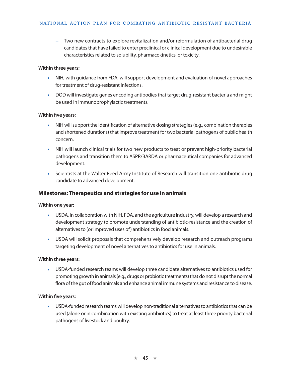**−** Two new contracts to explore revitalization and/or reformulation of antibacterial drug candidates that have failed to enter preclinical or clinical development due to undesirable characteristics related to solubility, pharmacokinetics, or toxicity.

#### **Within three years:**

- NIH, with guidance from FDA, will support development and evaluation of novel approaches for treatment of drug-resistant infections.
- DOD will investigate genes encoding antibodies that target drug-resistant bacteria and might be used in immunoprophylactic treatments.

#### **Within five years:**

- NIH will support the identification of alternative dosing strategies (e.g., combination therapies and shortened durations) that improve treatment for two bacterial pathogens of public health concern.
- NIH will launch clinical trials for two new products to treat or prevent high-priority bacterial pathogens and transition them to ASPR/BARDA or pharmaceutical companies for advanced development.
- Scientists at the [Walter Reed Army Institute of Research](http://www.google.com/url?url=http://wrair-www.army.mil/&rct=j&frm=1&q=&esrc=s&sa=U&ei=ddPUVJeUE7WCsQTC6oHoBw&ved=0CBUQFjAA&usg=AFQjCNEPuhtIiq6AHAFAfH1a77KM7xmHdA) will transition one antibiotic drug candidate to advanced development.

## **Milestones: Therapeutics and strategies for use in animals**

#### **Within one year:**

- USDA, in collaboration with NIH, FDA, and the agriculture industry, will develop a research and development strategy to promote understanding of antibiotic-resistance and the creation of alternatives to (or improved uses of) antibiotics in food animals.
- USDA will solicit proposals that comprehensively develop research and outreach programs targeting development of novel alternatives to antibiotics for use in animals.

#### **Within three years:**

• USDA-funded research teams will develop three candidate alternatives to antibiotics used for promoting growth in animals (e.g., drugs or probiotic treatments) that do not disrupt the normal flora of the gut of food animals and enhance animal immune systems and resistance to disease.

#### **Within five years:**

• USDA-funded research teams will develop non-traditional alternatives to antibiotics that can be used (alone or in combination with existing antibiotics) to treat at least three priority bacterial pathogens of livestock and poultry.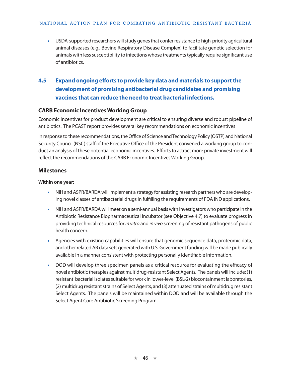• USDA-supported researchers will study genes that confer resistance to high-priority agricultural animal diseases (e.g., Bovine Respiratory Disease Complex) to facilitate genetic selection for animals with less susceptibility to infections whose treatments typically require significant use of antibiotics.

# **4.5 Expand ongoing efforts to provide key data and materials to support the development of promising antibacterial drug candidates and promising vaccines that can reduce the need to treat bacterial infections.**

## **CARB Economic Incentives Working Group**

Economic incentives for product development are critical to ensuring diverse and robust pipeline of antibiotics. The PCAST report provides several key recommendations on economic incentives

In response to these recommendations, the Office of Science and Technology Policy (OSTP) and National Security Council (NSC) staff of the Executive Office of the President convened a working group to conduct an analysis of these potential economic incentives. Efforts to attract more private investment will reflect the recommendations of the CARB Economic Incentives Working Group.

#### **Milestones**

#### **Within one year:**

- NIH and ASPR/BARDA will implement a strategy for assisting research partners who are developing novel classes of antibacterial drugs in fulfilling the requirements of FDA IND applications.
- NIH and ASPR/BARDA will meet on a semi-annual basis with investigators who participate in the Antibiotic Resistance Biopharmaceutical Incubator (see Objective 4.7) to evaluate progress in providing technical resources for *in vitro* and *in vivo* screening of resistant pathogens of public health concern.
- Agencies with existing capabilities will ensure that genomic sequence data, proteomic data, and other related AR data sets generated with U.S. Government funding will be made publically available in a manner consistent with protecting personally identifiable information.
- DOD will develop three specimen panels as a critical resource for evaluating the efficacy of novel antibiotic therapies against multidrug-resistant Select Agents. The panels will include: (1) resistant bacterial isolates suitable for work in lower-level (BSL-2) biocontainment laboratories, (2) multidrug resistant strains of Select Agents, and (3) attenuated strains of multidrug resistant Select Agents. The panels will be maintained within DOD and will be available through the Select Agent Core Antibiotic Screening Program.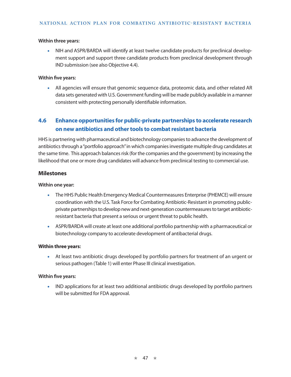#### **Within three years:**

• NIH and ASPR/BARDA will identify at least twelve candidate products for preclinical development support and support three candidate products from preclinical development through IND submission (see also Objective 4.4).

#### **Within five years:**

• All agencies will ensure that genomic sequence data, proteomic data, and other related AR data sets generated with U.S. Government funding will be made publicly available in a manner consistent with protecting personally identifiable information.

# **4.6 Enhance opportunities for public-private partnerships to accelerate research on new antibiotics and other tools to combat resistant bacteria**

HHS is partnering with pharmaceutical and biotechnology companies to advance the development of antibiotics through a "portfolio approach" in which companies investigate multiple drug candidates at the same time. This approach balances risk (for the companies and the government) by increasing the likelihood that one or more drug candidates will advance from preclinical testing to commercial use.

#### **Milestones**

#### **Within one year:**

- The HHS Public Health Emergency Medical Countermeasures Enterprise (PHEMCE) will ensure coordination with the U.S. Task Force for Combating Antibiotic-Resistant in promoting publicprivate partnerships to develop new and next-generation countermeasures to target antibioticresistant bacteria that present a serious or urgent threat to public health.
- ASPR/BARDA will create at least one additional portfolio partnership with a pharmaceutical or biotechnology company to accelerate development of antibacterial drugs.

#### **Within three years:**

• At least two antibiotic drugs developed by portfolio partners for treatment of an urgent or serious pathogen (Table 1) will enter Phase III clinical investigation.

#### **Within five years:**

• IND applications for at least two additional antibiotic drugs developed by portfolio partners will be submitted for FDA approval.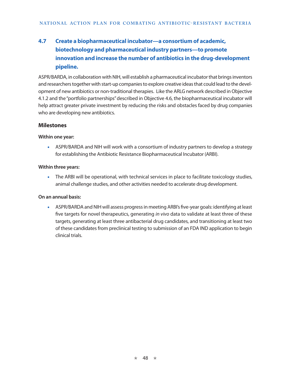# **4.7 Create a biopharmaceutical incubator—a consortium of academic, biotechnology and pharmaceutical industry partners—to promote innovation and increase the number of antibiotics in the drug-development pipeline.**

ASPR/BARDA, in collaboration with NIH, will establish a pharmaceutical incubator that brings inventors and researchers together with start-up companies to explore creative ideas that could lead to the development of new antibiotics or non-traditional therapies. Like the ARLG network described in Objective 4.1.2 and the "portfolio partnerships" described in Objective 4.6, the biopharmaceutical incubator will help attract greater private investment by reducing the risks and obstacles faced by drug companies who are developing new antibiotics.

#### **Milestones**

#### **Within one year:**

• ASPR/BARDA and NIH will work with a consortium of industry partners to develop a strategy for establishing the Antibiotic Resistance Biopharmaceutical Incubator (ARBI).

#### **Within three years:**

• The ARBI will be operational, with technical services in place to facilitate toxicology studies, animal challenge studies, and other activities needed to accelerate drug development.

#### **On an annual basis:**

• ASPR/BARDA and NIH will assess progress in meeting ARBI's five-year goals: identifying at least five targets for novel therapeutics, generating *in vivo* data to validate at least three of these targets, generating at least three antibacterial drug candidates, and transitioning at least two of these candidates from preclinical testing to submission of an FDA [IND application](http://www.google.com/url?url=http://www.fda.gov/drugs/developmentapprovalprocess/howdrugsaredevelopedandapproved/approvalapplications/investigationalnewdrugindapplication/default.htm&rct=j&frm=1&q=&esrc=s&sa=U&ei=Rp-xVKr9OvTasATyloDYCQ&ved=0CBUQFjAA&usg=AFQjCNF2Qvr3fmJ1R8t4ezuesrZbBXgT3w) to begin clinical trials.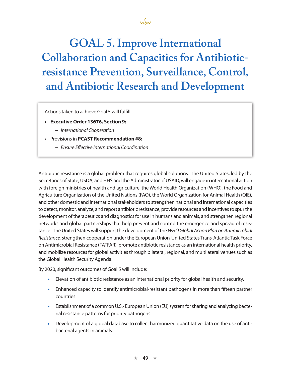# **GOAL 5. Improve International Collaboration and Capacities for Antibioticresistance Prevention, Surveillance, Control, and Antibiotic Research and Development**

Jo

Actions taken to achieve Goal 5 will fulfill

- **• Executive Order 13676, Section 9:**
	- **−** *International Cooperation*
- Provisions in **PCAST Recommendation #8:**
	- **−** *Ensure Effective International Coordination*

Antibiotic resistance is a global problem that requires global solutions. The United States, led by the Secretaries of State, USDA, and HHS and the Administrator of USAID, will engage in international action with foreign ministries of health and agriculture, the World Health Organization (WHO), the Food and Agriculture Organization of the United Nations (FAO), the World Organization for Animal Health (OIE), and other domestic and international stakeholders to strengthen national and international capacities to detect, monitor, analyze, and report antibiotic resistance, provide resources and incentives to spur the development of therapeutics and diagnostics for use in humans and animals, and strengthen regional networks and global partnerships that help prevent and control the emergence and spread of resistance. The United States will support the development of the *WHO Global Action Plan on Antimicrobial Resistance,* strengthen cooperation under the European Union-United States Trans-Atlantic Task Force on Antimicrobial Resistance (TATFAR), promote antibiotic resistance as an international health priority, and mobilize resources for global activities through bilateral, regional, and multilateral venues such as the Global Health Security Agenda.

By 2020, significant outcomes of Goal 5 will include:

- Elevation of antibiotic resistance as an international priority for global health and security.
- Enhanced capacity to identify antimicrobial-resistant pathogens in more than fifteen partner countries.
- Establishment of a common U.S.- European Union (EU) system for sharing and analyzing bacterial resistance patterns for priority pathogens.
- Development of a global database to collect harmonized quantitative data on the use of antibacterial agents in animals.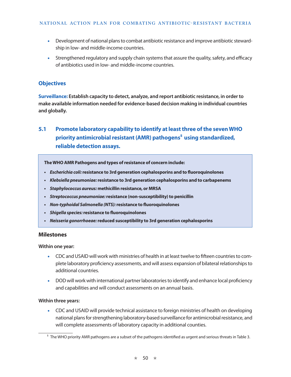- Development of national plans to combat antibiotic resistance and improve antibiotic stewardship in low- and middle-income countries.
- Strengthened regulatory and supply chain systems that assure the quality, safety, and efficacy of antibiotics used in low- and middle-income countries.

## **Objectives**

**Surveillance: Establish capacity to detect, analyze, and report antibiotic resistance, in order to make available information needed for evidence-based decision making in individual countries and globally.**

# **5.1 Promote laboratory capability to identify at least three of the seven WHO** priority antimicrobial resistant (AMR) pathogens<sup>5</sup> using standardized, **reliable detection assays.**

**The WHO AMR Pathogens and types of resistance of concern include:**

- *• Escherichia coli:* **resistance to 3rd generation cephalosporins and to fluoroquinolones**
- *• Klebsiella pneumoniae:* **resistance to 3rd generation cephalosporins and to carbapenems**
- *• Staphylococcus aureus:* **methicillin resistance, or MRSA**
- *• Streptococcus pneumoniae:* **resistance (non-susceptibility) to penicillin**
- *• Non-typhoidal Salmonella (NTS):* **resistance to fluoroquinolones**
- *• Shigella species:* **resistance to fluoroquinolones**
- *• Neisseria gonorrhoeae:* **reduced susceptibility to 3rd generation cephalosporins**

#### **Milestones**

**Within one year:** 

- CDC and USAID will work with ministries of health in at least twelve to fifteen countries to complete laboratory proficiency assessments, and will assess expansion of bilateral relationships to additional countries.
- DOD will work with international partner laboratories to identify and enhance local proficiency and capabilities and will conduct assessments on an annual basis.

#### **Within three years:**

• CDC and USAID will provide technical assistance to foreign ministries of health on developing national plans for strengthening laboratory-based surveillance for antimicrobial resistance, and will complete assessments of laboratory capacity in additional counties.

<sup>5</sup> The WHO priority AMR pathogens are a subset of the pathogens identified as urgent and serious threats in Table 3.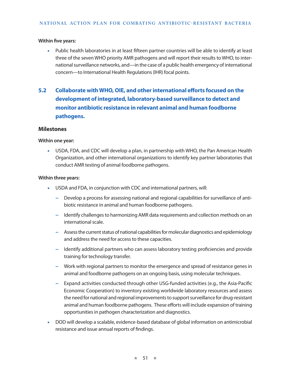• Public health laboratories in at least fifteen partner countries will be able to identify at least three of the seven WHO priority AMR pathogens and will report their results to WHO, to international surveillance networks, and—in the case of a public health emergency of international concern—to International Health Regulations (IHR) focal points.

# **5.2 Collaborate with WHO, OIE, and other international efforts focused on the development of integrated, laboratory-based surveillance to detect and monitor antibiotic resistance in relevant animal and human foodborne pathogens.**

#### **Milestones**

#### **Within one year:**

• USDA, FDA, and CDC will develop a plan, in partnership with WHO, the Pan American Health Organization, and other international organizations to identify key partner laboratories that conduct AMR testing of animal foodborne pathogens.

#### **Within three years:**

- USDA and FDA, in conjunction with CDC and international partners, will:
	- **−** Develop a process for assessing national and regional capabilities for surveillance of antibiotic resistance in animal and human foodborne pathogens.
	- **−** Identify challenges to harmonizing AMR data requirements and collection methods on an international scale.
	- **−** Assess the current status of national capabilities for molecular diagnostics and epidemiology and address the need for access to these capacities.
	- **−** Identify additional partners who can assess laboratory testing proficiencies and provide training for technology transfer.
	- **−** Work with regional partners to monitor the emergence and spread of resistance genes in animal and foodborne pathogens on an ongoing basis, using molecular techniques.
	- **−** Expand activities conducted through other USG-funded activities (e.g., the Asia-Pacific Economic Cooperation) to inventory existing worldwide laboratory resources and assess the need for national and regional improvements to support surveillance for drug-resistant animal and human foodborne pathogens. These efforts will include expansion of training opportunities in pathogen characterization and diagnostics.
- DOD will develop a scalable, evidence-based database of global information on antimicrobial resistance and issue annual reports of findings.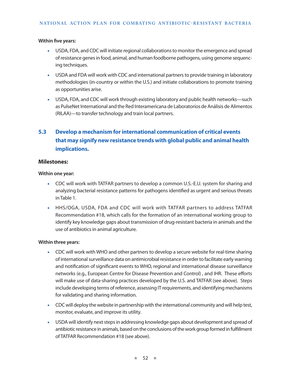- USDA, FDA, and CDC will initiate regional collaborations to monitor the emergence and spread of resistance genes in food, animal, and human foodborne pathogens, using genome sequencing techniques.
- USDA and FDA will work with CDC and international partners to provide training in laboratory methodologies (in-country or within the U.S.) and initiate collaborations to promote training as opportunities arise.
- USDA, FDA, and CDC will work through existing laboratory and public health networks—such as PulseNet International and the Red Interamericana de Laboratorios de Análisis de Alimentos (RILAA)—to transfer technology and train local partners.

# **5.3 Develop a mechanism for international communication of critical events that may signify new resistance trends with global public and animal health implications.**

#### **Milestones:**

#### **Within one year:**

- CDC will work with TATFAR partners to develop a common U.S.-E.U. system for sharing and analyzing bacterial resistance patterns for pathogens identified as urgent and serious threats in Table 1.
- HHS/OGA, USDA, FDA and CDC will work with TATFAR partners to address TATFAR Recommendation #18, which calls for the formation of an international working group to identify key knowledge gaps about transmission of drug-resistant bacteria in animals and the use of antibiotics in animal agriculture.

#### **Within three years:**

- CDC will work with WHO and other partners to develop a secure website for real-time sharing of international surveillance data on antimicrobial resistance in order to facilitate early warning and notification of significant events to WHO, regional and international disease surveillance networks (e.g., European Centre for Disease Prevention and Control) , and IHR. These efforts will make use of data-sharing practices developed by the U.S. and TATFAR (see above). Steps include developing terms of reference, assessing IT requirements, and identifying mechanisms for validating and sharing information.
- CDC will deploy the website in partnership with the international community and will help test, monitor, evaluate, and improve its utility.
- USDA will identify next steps in addressing knowledge gaps about development and spread of antibiotic resistance in animals, based on the conclusions of the work group formed in fulfillment of TATFAR Recommendation #18 (see above).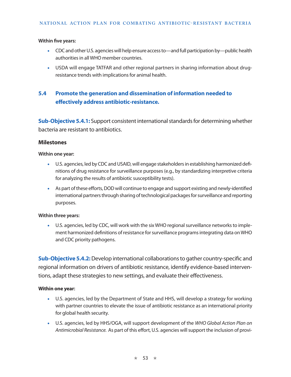- CDC and other U.S. agencies will help ensure access to—and full participation by—public health authorities in all WHO member countries.
- USDA will engage TATFAR and other regional partners in sharing information about drugresistance trends with implications for animal health.

# **5.4 Promote the generation and dissemination of information needed to effectively address antibiotic-resistance.**

**Sub-Objective 5.4.1:** Support consistent international standards for determining whether bacteria are resistant to antibiotics.

#### **Milestones**

#### **Within one year:**

- U.S. agencies, led by CDC and USAID, will engage stakeholders in establishing harmonized definitions of drug resistance for surveillance purposes (e.g., by standardizing interpretive criteria for analyzing the results of antibiotic susceptibility tests).
- As part of these efforts, DOD will continue to engage and support existing and newly-identified international partners through sharing of technological packages for surveillance and reporting purposes.

#### **Within three years:**

• U.S. agencies, led by CDC, will work with the six WHO regional surveillance networks to implement harmonized definitions of resistance for surveillance programs integrating data on WHO and CDC priority pathogens.

**Sub-Objective 5.4.2:** Develop international collaborations to gather country-specific and regional information on drivers of antibiotic resistance, identify evidence-based interventions, adapt these strategies to new settings, and evaluate their effectiveness.

#### **Within one year:**

- U.S. agencies, led by the Department of State and HHS, will develop a strategy for working with partner countries to elevate the issue of antibiotic resistance as an international priority for global health security.
- U.S. agencies, led by HHS/OGA, will support development of the *WHO Global Action Plan on Antimicrobial Resistance.* As part of this effort,U.S. agencies will support the inclusion of provi-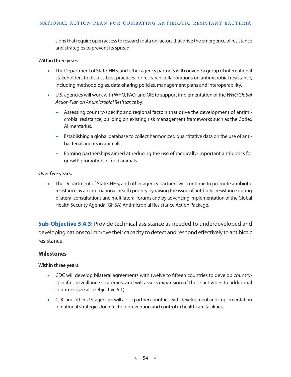sions that require open access to research data on factors that drive the emergence of resistance and strategies to prevent its spread.

#### **Within three years:**

- The Department of State, HHS, and other agency partners will convene a group of international stakeholders to discuss best practices for research collaborations on antimicrobial resistance, including methodologies, data-sharing policies, management plans and interoperability.
- U.S. agencies will work with WHO, FAO, and OIE to support implementation of the *WHO Global Action Plan on Antimicrobial Resistance* by:
	- **−** Assessing country-specific and regional factors that drive the development of antimicrobial resistance, building on existing risk management frameworks such as the Codex Alimentarius.
	- **−** Establishing a global database to collect harmonized quantitative data on the use of antibacterial agents in animals.
	- **−** Forging partnerships aimed at reducing the use of medically-important antibiotics for growth promotion in food animals.

#### **Over five years:**

• The Department of State, HHS, and other agency partners will continue to promote antibiotic resistance as an international health priority by raising the issue of antibiotic resistance during bilateral consultations and multilateral forums and by advancing implementation of the Global Health Security Agenda (GHSA) Antimicrobial Resistance Action Package.

**Sub-Objective 5.4.3:** Provide technical assistance as needed to underdeveloped and developing nations to improve their capacity to detect and respond effectively to antibiotic resistance.

#### **Milestones**

#### **Within three years:**

- CDC will develop bilateral agreements with twelve to fifteen countries to develop countryspecific surveillance strategies, and will assess expansion of these activities to additional countries (see also Objective 5.1).
- CDC and other U.S. agencies will assist partner countries with development and implementation of national strategies for infection prevention and control in healthcare facilities.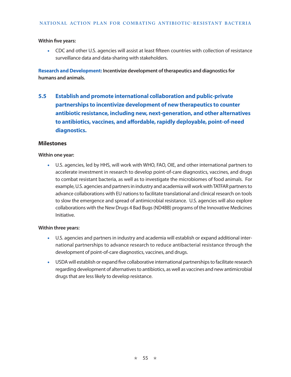• CDC and other U.S. agencies will assist at least fifteen countries with collection of resistance surveillance data and data-sharing with stakeholders.

**Research and Development: Incentivize development of therapeutics and diagnostics for humans and animals.**

**5.5 Establish and promote international collaboration and public-private partnerships to incentivize development of new therapeutics to counter antibiotic resistance, including new, next-generation, and other alternatives to antibiotics, vaccines, and affordable, rapidly deployable, point-of-need diagnostics.** 

## **Milestones**

#### **Within one year:**

• U.S. agencies, led by HHS, will work with WHO, FAO, OIE, and other international partners to accelerate investment in research to develop point-of-care diagnostics, vaccines, and drugs to combat resistant bacteria, as well as to investigate the microbiomes of food animals. For example, U.S. agencies and partners in industry and academia will work with TATFAR partners to advance collaborations with EU nations to facilitate translational and clinical research on tools to slow the emergence and spread of antimicrobial resistance. U.S. agencies will also explore collaborations with the New Drugs 4 Bad Bugs (ND4BB) programs of the Innovative Medicines Initiative.

#### **Within three years:**

- U.S. agencies and partners in industry and academia will establish or expand additional international partnerships to advance research to reduce antibacterial resistance through the development of point-of-care diagnostics, vaccines, and drugs.
- USDA will establish or expand five collaborative international partnerships to facilitate research regarding development of alternatives to antibiotics, as well as vaccines and new antimicrobial drugs that are less likely to develop resistance.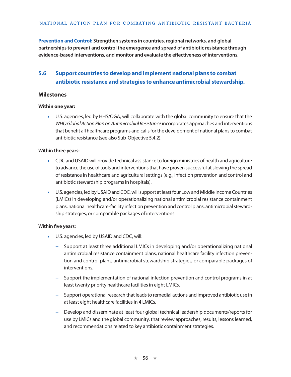**Prevention and Control: Strengthen systems in countries, regional networks, and global partnerships to prevent and control the emergence and spread of antibiotic resistance through evidence-based interventions, and monitor and evaluate the effectiveness of interventions.** 

# **5.6 Support countries to develop and implement national plans to combat antibiotic resistance and strategies to enhance antimicrobial stewardship.**

#### **Milestones**

#### **Within one year:**

• U.S. agencies, led by HHS/OGA, will collaborate with the global community to ensure that the *WHO Global Action Plan on Antimicrobial Resistance* incorporates approaches and interventions that benefit all healthcare programs and calls for the development of national plans to combat antibiotic resistance (see also Sub-Objective 5.4.2).

#### **Within three years:**

- CDC and USAID will provide technical assistance to foreign ministries of health and agriculture to advance the use of tools and interventions that have proven successful at slowing the spread of resistance in healthcare and agricultural settings (e.g., infection prevention and control and antibiotic stewardship programs in hospitals).
- U.S. agencies, led by USAID and CDC, will support at least four Low and Middle Income Countries (LMICs) in developing and/or operationalizing national antimicrobial resistance containment plans, national healthcare-facility infection prevention and control plans, antimicrobial stewardship strategies, or comparable packages of interventions.

#### **Within five years:**

- U.S. agencies, led by USAID and CDC, will:
	- **−** Support at least three additional LMICs in developing and/or operationalizing national antimicrobial resistance containment plans, national healthcare facility infection prevention and control plans, antimicrobial stewardship strategies, or comparable packages of interventions.
	- **−** Support the implementation of national infection prevention and control programs in at least twenty priority healthcare facilities in eight LMICs.
	- **−** Support operational research that leads to remedial actions and improved antibiotic use in at least eight healthcare facilities in 4 LMICs.
	- **−** Develop and disseminate at least four global technical leadership documents/reports for use by LMICs and the global community, that review approaches, results, lessons learned, and recommendations related to key antibiotic containment strategies.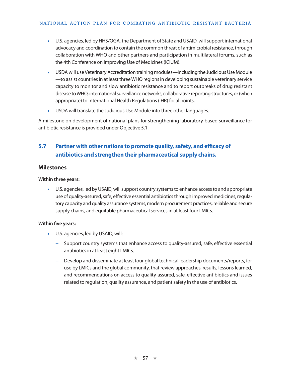- U.S. agencies, led by HHS/OGA, the Department of State and USAID, will support international advocacy and coordination to contain the common threat of antimicrobial resistance, through collaboration with WHO and other partners and participation in multilateral forums, such as the 4th Conference on Improving Use of Medicines (ICIUM).
- USDA will use Veterinary Accreditation training modules—including the Judicious Use Module —to assist countries in at least three WHO regions in developing sustainable veterinary service capacity to monitor and slow antibiotic resistance and to report outbreaks of drug resistant disease to WHO, international surveillance networks, collaborative reporting structures, or (when appropriate) to International Health Regulations (IHR) focal points.
- USDA will translate the Judicious Use Module into three other languages.

A milestone on development of national plans for strengthening laboratory-based surveillance for antibiotic resistance is provided under Objective 5.1.

# **5.7 Partner with other nations to promote quality, safety, and efficacy of antibiotics and strengthen their pharmaceutical supply chains.**

## **Milestones**

#### **Within three years:**

• U.S. agencies, led by USAID, will support country systems to enhance access to and appropriate use of quality-assured, safe, effective essential antibiotics through improved medicines, regulatory capacity and quality assurance systems, modern procurement practices, reliable and secure supply chains, and equitable pharmaceutical services in at least four LMICs.

#### **Within five years:**

- U.S. agencies, led by USAID, will:
	- **−** Support country systems that enhance access to quality-assured, safe, effective essential antibiotics in at least eight LMICs.
	- **−** Develop and disseminate at least four global technical leadership documents/reports, for use by LMICs and the global community, that review approaches, results, lessons learned, and recommendations on access to quality-assured, safe, effective antibiotics and issues related to regulation, quality assurance, and patient safety in the use of antibiotics.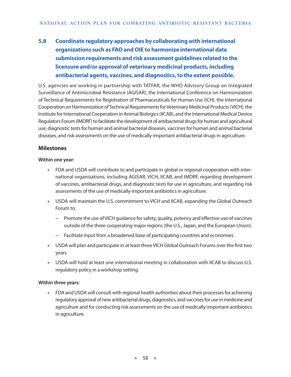# **5.8 Coordinate regulatory approaches by collaborating with international organizations such as FAO and OIE to harmonize international data submission requirements and risk assessment guidelines related to the licensure and/or approval of veterinary medicinal products, including antibacterial agents, vaccines, and diagnostics, to the extent possible.**

U.S. agencies are working in partnership with TATFAR, the WHO Advisory Group on Integrated Surveillance of Antimicrobial Resistance (AGISAR), the International Conference on Harmonization of Technical Requirements for Registration of Pharmaceuticals for Human Use (ICH), the International Cooperation on Harmonization of Technical Requirements for Veterinary Medicinal Products (VICH), the Institute for International Cooperation in Animal Biologics (IICAB), and the [International Medical Device](http://www.google.com/url?url=http://www.imdrf.org/&rct=j&frm=1&q=&esrc=s&sa=U&ei=Y4CQVI-GPKW1sQTfsYCgBQ&ved=0CBUQFjAA&usg=AFQjCNFtM2tq0xGN2DrpgB-W4ERoIwUMvg)  [Regulators Forum](http://www.google.com/url?url=http://www.imdrf.org/&rct=j&frm=1&q=&esrc=s&sa=U&ei=Y4CQVI-GPKW1sQTfsYCgBQ&ved=0CBUQFjAA&usg=AFQjCNFtM2tq0xGN2DrpgB-W4ERoIwUMvg) (IMDRF) to facilitate the development of antibacterial drugs for human and agricultural use, diagnostic tests for human and animal bacterial diseases, vaccines for human and animal bacterial diseases, and risk assessments on the use of medically-important antibacterial drugs in agriculture.

## **Milestones**

#### **Within one year:**

- FDA and USDA will contribute to and participate in global or regional cooperation with international organizations, including AGISAR, VICH, IICAB, and IMDRF, regarding development of vaccines, antibacterial drugs, and diagnostic tests for use in agriculture, and regarding risk assessments of the use of medically-important antibiotics in agriculture.
- USDA will maintain the U.S. commitment to VICH and IICAB, expanding the Global Outreach Forum to:
	- **−** Promote the use of VICH guidance for safety, quality, potency and effective use of vaccines outside of the three cooperating major regions (the U.S., Japan, and the European Union).
	- **−** Facilitate input from a broadened base of participating countries and economies.
- USDA will plan and participate in at least three VICH Global Outreach Forums over the first two years.
- USDA will hold at least one international meeting in collaboration with IICAB to discuss U.S. regulatory policy in a workshop setting.

#### **Within three years:**

• FDA and USDA will consult with regional health authorities about their processes for achieving regulatory approval of new antibacterial drugs, diagnostics, and vaccines for use in medicine and agriculture and for conducting risk assessments on the use of medically-important antibiotics in agriculture.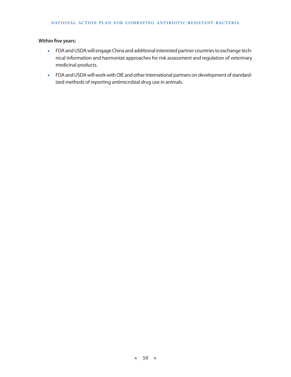- FDA and USDA will engage China and additional interested partner countries to exchange technical information and harmonize approaches for risk assessment and regulation of veterinary medicinal products.
- FDA and USDA will work with OIE and other international partners on development of standardized methods of reporting antimicrobial drug use in animals.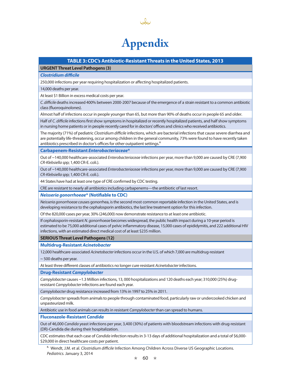

#### **TABLE 3: CDC's Antibiotic-Resistant Threats in the United States, 2013**

#### **URGENT Threat Level Pathogens (3)**

#### *Clostridium difficile*

250,000 infections per year requiring hospitalization or affecting hospitalized patients.

14,000 deaths per year.

At least \$1 Billion in excess medical costs per year.

*C. difficile* deaths increased 400% between 2000-2007 because of the emergence of a strain resistant to a common antibiotic class (fluoroquinolones).

Almost half of infections occur in people younger than 65, but more than 90% of deaths occur in people 65 and older.

Half of *C. difficile i*nfections first show symptoms in hospitalized or recently hospitalized patients, and half show symptoms in nursing home patients or in people recently cared for in doctors' offices and clinics who received antibiotics.

The majority (71%) of pediatric *Clostridium difficile* infections, which are bacterial infections that cause severe diarrhea and are potentially life-threatening, occur among children in the general community, 73% were found to have recently taken antibiotics prescribed in doctor's offices for other outpatient settings.<sup>6</sup>

**Carbapenem-Resistant** *Enterobacteriaceae***\***

Out of ~140,000 healthcare-associated *Enterobacteriaceae* infections per year, more than 9,000 are caused by CRE (7,900 *CR-Klebsiella sp*p; 1,400 CR-E. coli.).

Out of ~140,000 healthcare-associated *Enterobacteriaceae* infections per year, more than 9,000 are caused by CRE (7,900 *CR-Klebsiella sp*p; 1,400 CR-E. coli.).

44 States have had at least one type of CRE confirmed by CDC testing.

CRE are resistant to nearly all antibiotics including carbapenems—the antibiotic of last resort.

*Neisseria gonorrhoeae***\* (Notifiable to CDC)**

*Neisseria gonorrhoeae ca*uses gonorrhea, is the second most common reportable infection in the United States, and is developing resistance to the cephalosporin antibiotics, the last line treatment option for this infection.

Of the 820,000 cases per year, 30% (246,000) now demonstrate resistance to at least one antibiotic.

If cephalosporin-resistant *N. gonorrhoeae* becomes widespread, the public health impact during a 10-year period is estimated to be 75,000 additional cases of pelvic inflammatory disease, 15,000 cases of epididymitis, and 222 additional HIV infections, with an estimated direct medical cost of at least \$235 million.

#### **SERIOUS Threat Level Pathogens (12)**

**Multidrug-Resistant** *Acinetobacter*

12,000 healthcare-associated *Acinetobacter* infections occur in the U.S. of which 7,000 are multidrug-resistant

~ 500 deaths per year.

At least three different classes of antibiotics no longer cure resistant *Acinetobacter* infections.

**Drug-Resistant** *Campylobacter*

*Campylobacter* causes ~1.3 Million infections, 13, 000 hospitalizations and 120 deaths each year; 310,000 (25%) drugresistant *Campylobacter* infections are found each year.

*Campylobacter* drug resistance increased from 13% in 1997 to 25% in 2011.

*Campylobacter* spreads from animals to people through contaminated food, particularly raw or undercooked chicken and unpasteurized milk.

Antibiotic use in food animals can results in resistant *Campylobacter* than can spread to humans.

**Fluconazole-Resistant** *Candida*

Out of 46,000 *Candida* yeast infections per year, 3,400 (30%) of patients with bloodstream infections with drug-resistant (DR)-Candida die during their hospitalization.

CDC estimates that each case of *Candida* infection results in 3-13 days of additional hospitalization and a total of \$6,000- \$29,000 in direct healthcare costs per patient.

6. Wendt, J.M. et al. *Clostridium difficile* Infection Among Children Across Diverse US Geographic Locations. *Pediatrics.* January 3, 2014

 $\star$  60  $\star$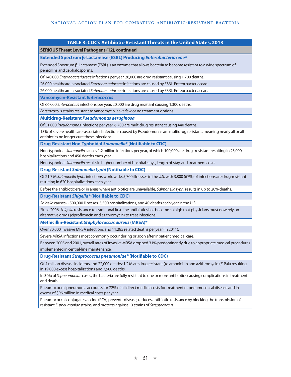#### **TABLE 3: CDC's Antibiotic-Resistant Threats in the United States, 2013**

#### **SERIOUS Threat Level Pathogens (12), continued**

**Extended Spectrum β-Lactamase (ESBL) Producing** *Enterobacteriaceae\**

Extended Spectrum β-Lactamase (ESBL) is an enzyme that allows bacteria to become resistant to a wide spectrum of penicillins and cephalosporins.

Of 140,000 *Enterobacteriaceae* infections per year, 26,000 are drug resistant causing 1,700 deaths.

26,000 healthcare-associated *Enterobacteriaceae* infections are caused by ESBL-Enteorbacteriaceae.

26,000 healthcare-associated *Enterobacteriaceae* infections are caused by ESBL-Enteorbacteriaceae.

**Vancomycin-Resistant** *Enterococcus*

Of 66,000 *Enterococcus* infections per year, 20,000 are drug resistant causing 1,300 deaths.

*Enterococcus* strains resistant to vancomycin leave few or no treatment options.

#### **Multidrug-Resistant** *Pseudomonas aeruginosa*

Of 51,000 *Pseudomonas* infections per year, 6,700 are multidrug resistant causing 440 deaths.

13% of severe healthcare-associated infections caused by Pseudomonas are multidrug resistant, meaning nearly all or all antibiotics no longer cure these infections.

**Drug-Resistant Non-Typhoidal** *Salmonella\** **(Notifiable to CDC)**

Non-typhoidal *Salmonella* causes 1.2 million infections per year, of which 100,000 are drug- resistant resulting in 23,000 hospitalizations and 450 deaths each year.

Non-typhoidal *Salmonella* results in higher number of hospital stays, length of stay, and treatment costs.

#### **Drug-Resistant** *Salmonella typhi* **(Notifiable to CDC)**

Of 21.7 M *Salmonella typhi* infections worldwide, 5,700 illnesses in the U.S. with 3,800 (67%) of infections are drug-resistant resulting in 620 hospitalizations each year.

Before the antibiotic era or in areas where antibiotics are unavailable, *Salmonella typhi* results in up to 20% deaths.

#### **Drug-Resistant** *Shigella\** **(Notifiable to CDC)**

*Shigella* causes ~ 500,000 illnesses, 5,500 hospitalizations, and 40 deaths each year in the U.S.

Since 2006, *Shigella* resistance to traditional first-line antibiotics has become so high that physicians must now rely on alternative drugs (ciprofloxacin and azithromycin) to treat infections.

**Methicillin-Resistant** *Staphylococcus aureus* **(MRSA)\***

Over 80,000 invasive MRSA infections and 11,285 related deaths per year (in 2011).

Severe MRSA infections most commonly occur during or soon after inpatient medical care.

Between 2005 and 2001, overall rates of invasive MRSA dropped 31% predominantly due to appropriate medical procedures implemented in central-line maintenance.

**Drug-Resistant** *Streptococcus pneumoniae\** **(Notifiable to CDC)**

Of 4 million disease incidents and 22,000 deaths; 1.2 M are drug resistant (to amoxicillin and azithromycin (Z-Pak) resulting in 19,000 excess hospitalizations and 7,900 deaths.

In 30% of *S. pneumoniae* cases, the bacteria are fully resistant to one or more antibiotics causing complications in treatment and death.

Pneumococcal pneumonia accounts for 72% of all direct medical costs for treatment of pneumococcal disease and in excess of \$96 million in medical costs per year.

Pneumococcal conjugate vaccine (PCV) prevents disease, reduces antibiotic-resistance by blocking the transmission of resistant *S. pneumoniae* strains, and protects against 13 strains of *Streptococcus*.